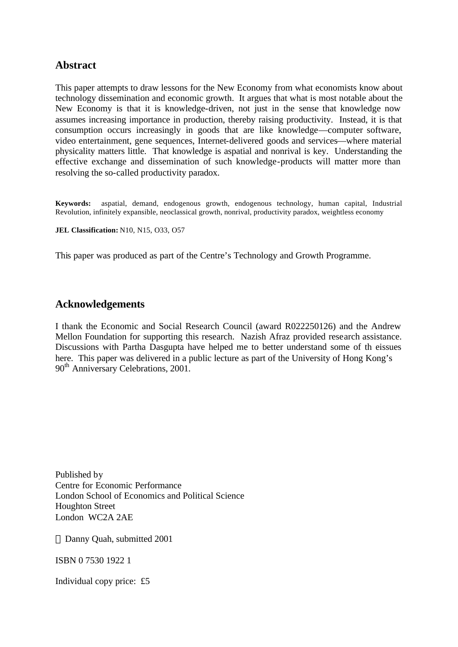## **Abstract**

This paper attempts to draw lessons for the New Economy from what economists know about technology dissemination and economic growth. It argues that what is most notable about the New Economy is that it is knowledge-driven, not just in the sense that knowledge now assumes increasing importance in production, thereby raising productivity. Instead, it is that consumption occurs increasingly in goods that are like knowledge—computer software, video entertainment, gene sequences, Internet-delivered goods and services—where material physicality matters little. That knowledge is aspatial and nonrival is key. Understanding the effective exchange and dissemination of such knowledge-products will matter more than resolving the so-called productivity paradox.

**Keywords:** aspatial, demand, endogenous growth, endogenous technology, human capital, Industrial Revolution, infinitely expansible, neoclassical growth, nonrival, productivity paradox, weightless economy

**JEL Classification:** N10, N15, O33, O57

This paper was produced as part of the Centre's Technology and Growth Programme.

## **Acknowledgements**

I thank the Economic and Social Research Council (award R022250126) and the Andrew Mellon Foundation for supporting this research. Nazish Afraz provided research assistance. Discussions with Partha Dasgupta have helped me to better understand some of th eissues here. This paper was delivered in a public lecture as part of the University of Hong Kong's 90<sup>th</sup> Anniversary Celebrations, 2001.

Published by Centre for Economic Performance London School of Economics and Political Science Houghton Street London WC2A 2AE

Danny Quah, submitted 2001

ISBN 0 7530 1922 1

Individual copy price: £5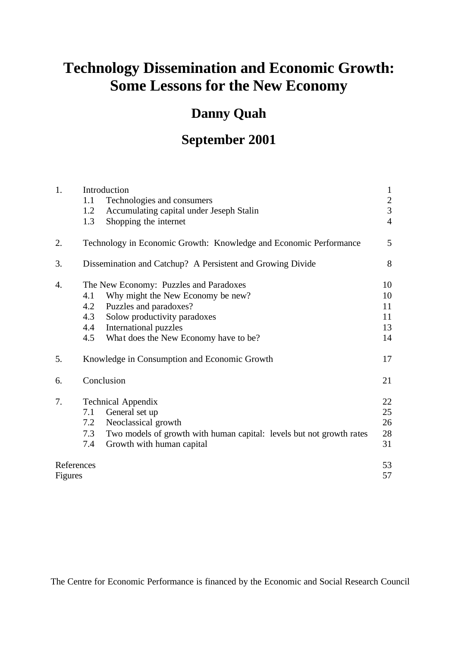# **Technology Dissemination and Economic Growth: Some Lessons for the New Economy**

## **Danny Quah**

## **September 2001**

| 1.      | Introduction<br>1.1<br>Technologies and consumers |                                                                      |                |  |
|---------|---------------------------------------------------|----------------------------------------------------------------------|----------------|--|
|         |                                                   |                                                                      |                |  |
|         | 1.3                                               | Shopping the internet                                                | $\overline{4}$ |  |
| 2.      |                                                   | Technology in Economic Growth: Knowledge and Economic Performance    |                |  |
| 3.      |                                                   | Dissemination and Catchup? A Persistent and Growing Divide           |                |  |
| 4.      | The New Economy: Puzzles and Paradoxes            |                                                                      |                |  |
|         | 4.1                                               | Why might the New Economy be new?                                    | 10             |  |
|         | 4.2                                               | Puzzles and paradoxes?                                               | 11             |  |
|         | 4.3                                               | Solow productivity paradoxes                                         | 11             |  |
|         | 4.4                                               | International puzzles                                                | 13             |  |
|         | 4.5                                               | What does the New Economy have to be?                                | 14             |  |
| 5.      | Knowledge in Consumption and Economic Growth      |                                                                      | 17             |  |
| 6.      | Conclusion                                        |                                                                      | 21             |  |
| 7.      | <b>Technical Appendix</b>                         |                                                                      |                |  |
|         | 7.1                                               | General set up                                                       | 25             |  |
|         | 7.2                                               | Neoclassical growth                                                  | 26             |  |
|         | 7.3                                               | Two models of growth with human capital: levels but not growth rates | 28             |  |
|         | 7.4                                               | Growth with human capital                                            | 31             |  |
|         | References                                        |                                                                      | 53             |  |
| Figures |                                                   |                                                                      | 57             |  |

The Centre for Economic Performance is financed by the Economic and Social Research Council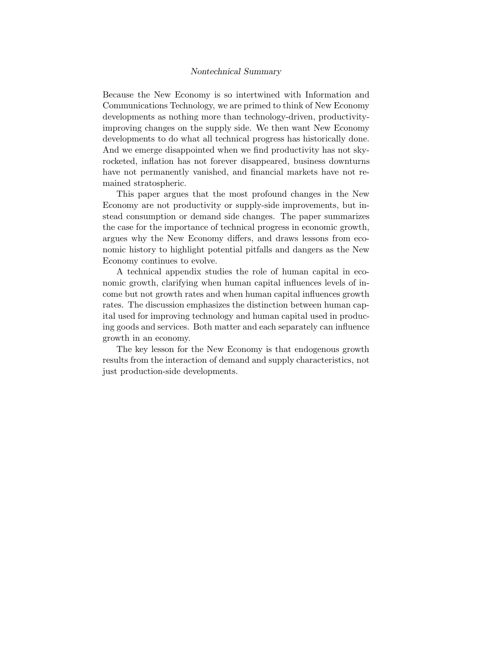#### *Nontechnical Summary*

Because the New Economy is so intertwined with Information and Communications Technology, we are primed to think of New Economy developments as nothing more than technology-driven, productivityimproving changes on the supply side. We then want New Economy developments to do what all technical progress has historically done. And we emerge disappointed when we find productivity has not skyrocketed, inflation has not forever disappeared, business downturns have not permanently vanished, and financial markets have not remained stratospheric.

This paper argues that the most profound changes in the New Economy are not productivity or supply-side improvements, but instead consumption or demand side changes. The paper summarizes the case for the importance of technical progress in economic growth, argues why the New Economy differs, and draws lessons from economic history to highlight potential pitfalls and dangers as the New Economy continues to evolve.

A technical appendix studies the role of human capital in economic growth, clarifying when human capital influences levels of income but not growth rates and when human capital influences growth rates. The discussion emphasizes the distinction between human capital used for improving technology and human capital used in producing goods and services. Both matter and each separately can influence growth in an economy.

The key lesson for the New Economy is that endogenous growth results from the interaction of demand and supply characteristics, not just production-side developments.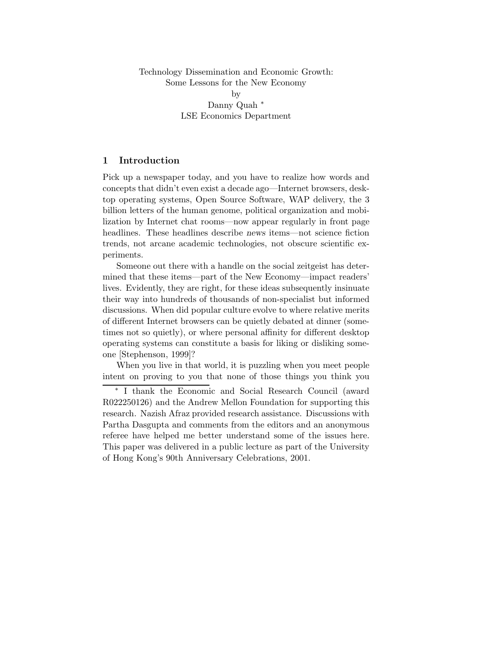### Technology Dissemination and Economic Growth: Some Lessons for the New Economy by Danny Quah ∗ LSE Economics Department

#### **1 Introduction**

Pick up a newspaper today, and you have to realize how words and concepts that didn't even exist a decade ago—Internet browsers, desktop operating systems, Open Source Software, WAP delivery, the 3 billion letters of the human genome, political organization and mobilization by Internet chat rooms—now appear regularly in front page headlines. These headlines describe *news* items—not science fiction trends, not arcane academic technologies, not obscure scientific experiments.

Someone out there with a handle on the social zeitgeist has determined that these items—part of the New Economy—impact readers' lives. Evidently, they are right, for these ideas subsequently insinuate their way into hundreds of thousands of non-specialist but informed discussions. When did popular culture evolve to where relative merits of different Internet browsers can be quietly debated at dinner (sometimes not so quietly), or where personal affinity for different desktop operating systems can constitute a basis for liking or disliking someone [Stephenson, 1999]?

When you live in that world, it is puzzling when you meet people intent on proving to you that none of those things you think you

<sup>∗</sup> I thank the Economic and Social Research Council (award R022250126) and the Andrew Mellon Foundation for supporting this research. Nazish Afraz provided research assistance. Discussions with Partha Dasgupta and comments from the editors and an anonymous referee have helped me better understand some of the issues here. This paper was delivered in a public lecture as part of the University of Hong Kong's 90th Anniversary Celebrations, 2001.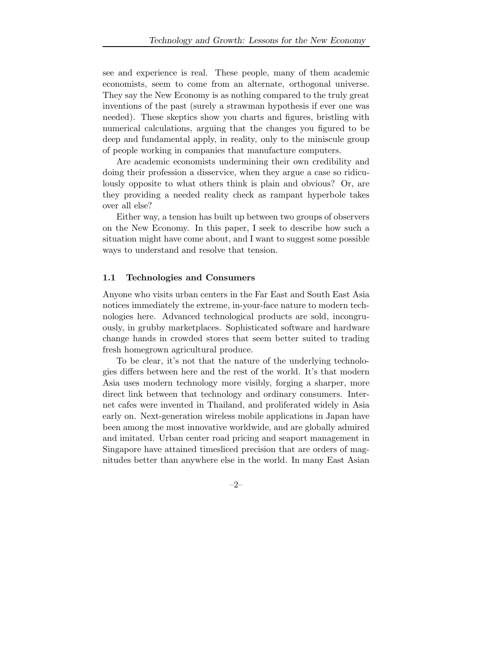see and experience is real. These people, many of them academic economists, seem to come from an alternate, orthogonal universe. They say the New Economy is as nothing compared to the truly great inventions of the past (surely a strawman hypothesis if ever one was needed). These skeptics show you charts and figures, bristling with numerical calculations, arguing that the changes you figured to be deep and fundamental apply, in reality, only to the miniscule group of people working in companies that manufacture computers.

Are academic economists undermining their own credibility and doing their profession a disservice, when they argue a case so ridiculously opposite to what others think is plain and obvious? Or, are they providing a needed reality check as rampant hyperbole takes over all else?

Either way, a tension has built up between two groups of observers on the New Economy. In this paper, I seek to describe how such a situation might have come about, and I want to suggest some possible ways to understand and resolve that tension.

#### **1.1 Technologies and Consumers**

Anyone who visits urban centers in the Far East and South East Asia notices immediately the extreme, in-your-face nature to modern technologies here. Advanced technological products are sold, incongruously, in grubby marketplaces. Sophisticated software and hardware change hands in crowded stores that seem better suited to trading fresh homegrown agricultural produce.

To be clear, it's not that the nature of the underlying technologies differs between here and the rest of the world. It's that modern Asia uses modern technology more visibly, forging a sharper, more direct link between that technology and ordinary consumers. Internet cafes were invented in Thailand, and proliferated widely in Asia early on. Next-generation wireless mobile applications in Japan have been among the most innovative worldwide, and are globally admired and imitated. Urban center road pricing and seaport management in Singapore have attained timesliced precision that are orders of magnitudes better than anywhere else in the world. In many East Asian

–2–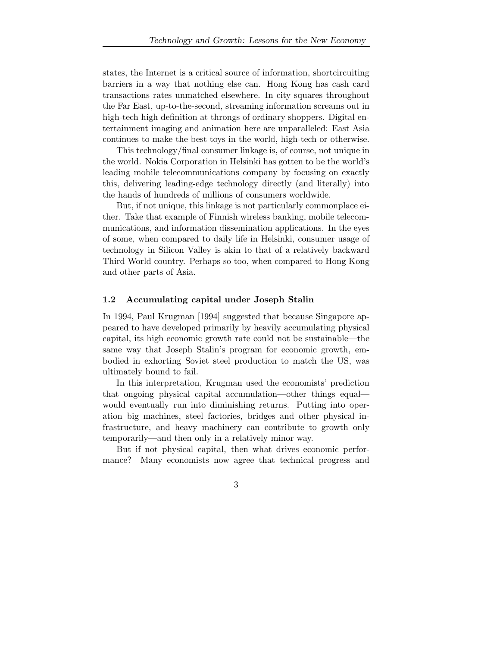states, the Internet is a critical source of information, shortcircuiting barriers in a way that nothing else can. Hong Kong has cash card transactions rates unmatched elsewhere. In city squares throughout the Far East, up-to-the-second, streaming information screams out in high-tech high definition at throngs of ordinary shoppers. Digital entertainment imaging and animation here are unparalleled: East Asia continues to make the best toys in the world, high-tech or otherwise.

This technology/final consumer linkage is, of course, not unique in the world. Nokia Corporation in Helsinki has gotten to be the world's leading mobile telecommunications company by focusing on exactly this, delivering leading-edge technology directly (and literally) into the hands of hundreds of millions of consumers worldwide.

But, if not unique, this linkage is not particularly commonplace either. Take that example of Finnish wireless banking, mobile telecommunications, and information dissemination applications. In the eyes of some, when compared to daily life in Helsinki, consumer usage of technology in Silicon Valley is akin to that of a relatively backward Third World country. Perhaps so too, when compared to Hong Kong and other parts of Asia.

#### **1.2 Accumulating capital under Joseph Stalin**

In 1994, Paul Krugman [1994] suggested that because Singapore appeared to have developed primarily by heavily accumulating physical capital, its high economic growth rate could not be sustainable—the same way that Joseph Stalin's program for economic growth, embodied in exhorting Soviet steel production to match the US, was ultimately bound to fail.

In this interpretation, Krugman used the economists' prediction that ongoing physical capital accumulation—other things equal would eventually run into diminishing returns. Putting into operation big machines, steel factories, bridges and other physical infrastructure, and heavy machinery can contribute to growth only temporarily—and then only in a relatively minor way.

But if not physical capital, then what drives economic performance? Many economists now agree that technical progress and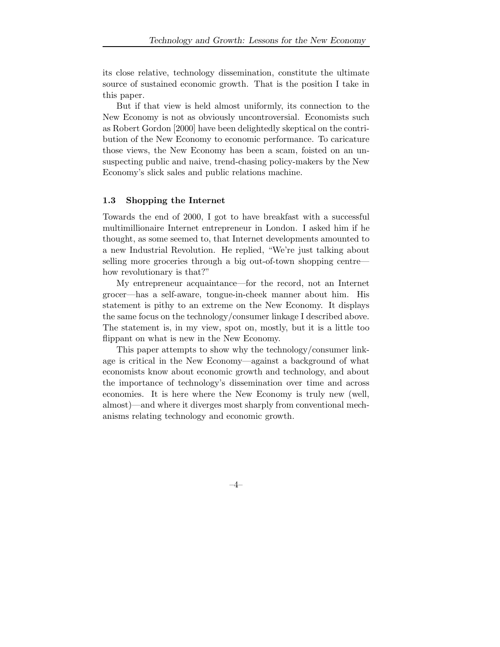its close relative, technology dissemination, constitute the ultimate source of sustained economic growth. That is the position I take in this paper.

But if that view is held almost uniformly, its connection to the New Economy is not as obviously uncontroversial. Economists such as Robert Gordon [2000] have been delightedly skeptical on the contribution of the New Economy to economic performance. To caricature those views, the New Economy has been a scam, foisted on an unsuspecting public and naive, trend-chasing policy-makers by the New Economy's slick sales and public relations machine.

#### **1.3 Shopping the Internet**

Towards the end of 2000, I got to have breakfast with a successful multimillionaire Internet entrepreneur in London. I asked him if he thought, as some seemed to, that Internet developments amounted to a new Industrial Revolution. He replied, "We're just talking about selling more groceries through a big out-of-town shopping centre how revolutionary is that?"

My entrepreneur acquaintance—for the record, not an Internet grocer—has a self-aware, tongue-in-cheek manner about him. His statement is pithy to an extreme on the New Economy. It displays the same focus on the technology/consumer linkage I described above. The statement is, in my view, spot on, mostly, but it is a little too flippant on what is new in the New Economy.

This paper attempts to show why the technology/consumer linkage is critical in the New Economy—against a background of what economists know about economic growth and technology, and about the importance of technology's dissemination over time and across economies. It is here where the New Economy is truly new (well, almost)—and where it diverges most sharply from conventional mechanisms relating technology and economic growth.

–4–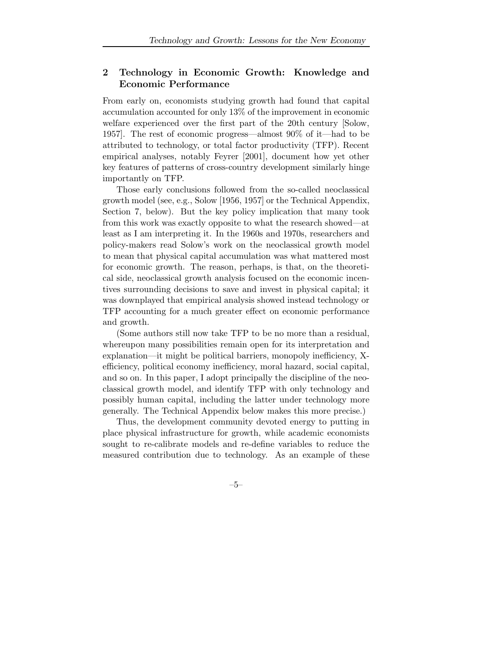### **2 Technology in Economic Growth: Knowledge and Economic Performance**

From early on, economists studying growth had found that capital accumulation accounted for only 13% of the improvement in economic welfare experienced over the first part of the 20th century [Solow, 1957]. The rest of economic progress—almost 90% of it—had to be attributed to technology, or total factor productivity (TFP). Recent empirical analyses, notably Feyrer [2001], document how yet other key features of patterns of cross-country development similarly hinge importantly on TFP.

Those early conclusions followed from the so-called neoclassical growth model (see, e.g., Solow [1956, 1957] or the Technical Appendix, Section 7, below). But the key policy implication that many took from this work was exactly opposite to what the research showed—at least as I am interpreting it. In the 1960s and 1970s, researchers and policy-makers read Solow's work on the neoclassical growth model to mean that physical capital accumulation was what mattered most for economic growth. The reason, perhaps, is that, on the theoretical side, neoclassical growth analysis focused on the economic incentives surrounding decisions to save and invest in physical capital; it was downplayed that empirical analysis showed instead technology or TFP accounting for a much greater effect on economic performance and growth.

(Some authors still now take TFP to be no more than a residual, whereupon many possibilities remain open for its interpretation and explanation—it might be political barriers, monopoly inefficiency, Xefficiency, political economy inefficiency, moral hazard, social capital, and so on. In this paper, I adopt principally the discipline of the neoclassical growth model, and identify TFP with only technology and possibly human capital, including the latter under technology more generally. The Technical Appendix below makes this more precise.)

Thus, the development community devoted energy to putting in place physical infrastructure for growth, while academic economists sought to re-calibrate models and re-define variables to reduce the measured contribution due to technology. As an example of these

–5–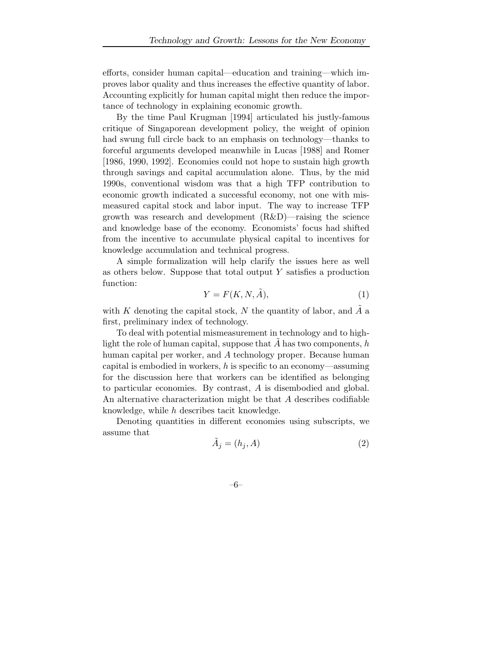efforts, consider human capital—education and training—which improves labor quality and thus increases the effective quantity of labor. Accounting explicitly for human capital might then reduce the importance of technology in explaining economic growth.

By the time Paul Krugman [1994] articulated his justly-famous critique of Singaporean development policy, the weight of opinion had swung full circle back to an emphasis on technology—thanks to forceful arguments developed meanwhile in Lucas [1988] and Romer [1986, 1990, 1992]. Economies could not hope to sustain high growth through savings and capital accumulation alone. Thus, by the mid 1990s, conventional wisdom was that a high TFP contribution to economic growth indicated a successful economy, not one with mismeasured capital stock and labor input. The way to increase TFP growth was research and development (R&D)—raising the science and knowledge base of the economy. Economists' focus had shifted from the incentive to accumulate physical capital to incentives for knowledge accumulation and technical progress.

A simple formalization will help clarify the issues here as well as others below. Suppose that total output Y satisfies a production function:

$$
Y = F(K, N, \tilde{A}),\tag{1}
$$

with K denoting the capital stock, N the quantity of labor, and A a first, preliminary index of technology.

To deal with potential mismeasurement in technology and to highlight the role of human capital, suppose that  $\overline{A}$  has two components, h human capital per worker, and A technology proper. Because human capital is embodied in workers,  $h$  is specific to an economy—assuming for the discussion here that workers can be identified as belonging to particular economies. By contrast, A is disembodied and global. An alternative characterization might be that A describes codifiable knowledge, while h describes tacit knowledge.

Denoting quantities in different economies using subscripts, we assume that

$$
\tilde{A}_j = (h_j, A) \tag{2}
$$

–6–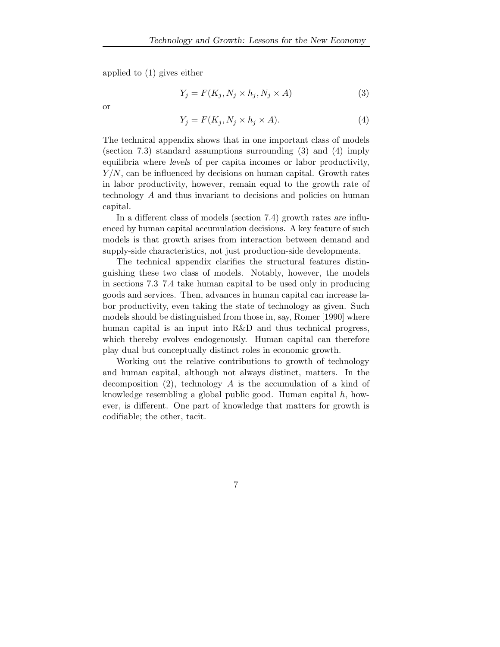applied to (1) gives either

$$
Y_j = F(K_j, N_j \times h_j, N_j \times A)
$$
\n(3)

or

$$
Y_j = F(K_j, N_j \times h_j \times A). \tag{4}
$$

The technical appendix shows that in one important class of models (section 7.3) standard assumptions surrounding (3) and (4) imply equilibria where *levels* of per capita incomes or labor productivity,  $Y/N$ , can be influenced by decisions on human capital. Growth rates in labor productivity, however, remain equal to the growth rate of technology A and thus invariant to decisions and policies on human capital.

In a different class of models (section 7.4) growth rates *are* influenced by human capital accumulation decisions. A key feature of such models is that growth arises from interaction between demand and supply-side characteristics, not just production-side developments.

The technical appendix clarifies the structural features distinguishing these two class of models. Notably, however, the models in sections 7.3–7.4 take human capital to be used only in producing goods and services. Then, advances in human capital can increase labor productivity, even taking the state of technology as given. Such models should be distinguished from those in, say, Romer [1990] where human capital is an input into R&D and thus technical progress, which thereby evolves endogenously. Human capital can therefore play dual but conceptually distinct roles in economic growth.

Working out the relative contributions to growth of technology and human capital, although not always distinct, matters. In the decomposition (2), technology A is the accumulation of a kind of knowledge resembling a global public good. Human capital h, however, is different. One part of knowledge that matters for growth is codifiable; the other, tacit.

–7–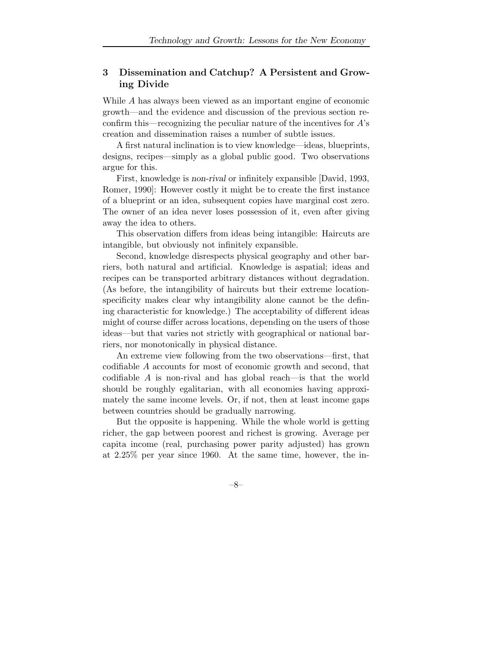#### **3 Dissemination and Catchup? A Persistent and Growing Divide**

While A has always been viewed as an important engine of economic growth—and the evidence and discussion of the previous section reconfirm this—recognizing the peculiar nature of the incentives for  $A$ 's creation and dissemination raises a number of subtle issues.

A first natural inclination is to view knowledge—ideas, blueprints, designs, recipes—simply as a global public good. Two observations argue for this.

First, knowledge is *non-rival* or infinitely expansible [David, 1993, Romer, 1990]: However costly it might be to create the first instance of a blueprint or an idea, subsequent copies have marginal cost zero. The owner of an idea never loses possession of it, even after giving away the idea to others.

This observation differs from ideas being intangible: Haircuts are intangible, but obviously not infinitely expansible.

Second, knowledge disrespects physical geography and other barriers, both natural and artificial. Knowledge is aspatial; ideas and recipes can be transported arbitrary distances without degradation. (As before, the intangibility of haircuts but their extreme locationspecificity makes clear why intangibility alone cannot be the defining characteristic for knowledge.) The acceptability of different ideas might of course differ across locations, depending on the users of those ideas—but that varies not strictly with geographical or national barriers, nor monotonically in physical distance.

An extreme view following from the two observations—first, that codifiable A accounts for most of economic growth and second, that codifiable A is non-rival and has global reach—is that the world should be roughly egalitarian, with all economies having approximately the same income levels. Or, if not, then at least income gaps between countries should be gradually narrowing.

But the opposite is happening. While the whole world is getting richer, the gap between poorest and richest is growing. Average per capita income (real, purchasing power parity adjusted) has grown at 2.25% per year since 1960. At the same time, however, the in-

–8–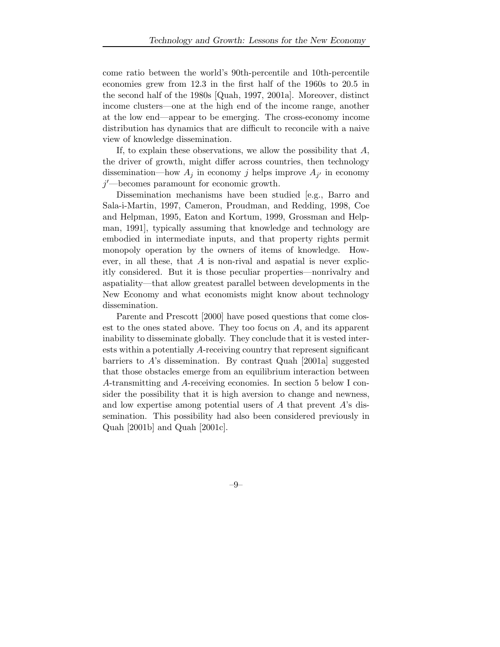come ratio between the world's 90th-percentile and 10th-percentile economies grew from 12.3 in the first half of the 1960s to 20.5 in the second half of the 1980s [Quah, 1997, 2001a]. Moreover, distinct income clusters—one at the high end of the income range, another at the low end—appear to be emerging. The cross-economy income distribution has dynamics that are difficult to reconcile with a naive view of knowledge dissemination.

If, to explain these observations, we allow the possibility that  $A$ , the driver of growth, might differ across countries, then technology dissemination—how  $A_j$  in economy j helps improve  $A_{j'}$  in economy  $j'$ —becomes paramount for economic growth.

Dissemination mechanisms have been studied [e.g., Barro and Sala-i-Martin, 1997, Cameron, Proudman, and Redding, 1998, Coe and Helpman, 1995, Eaton and Kortum, 1999, Grossman and Helpman, 1991], typically assuming that knowledge and technology are embodied in intermediate inputs, and that property rights permit monopoly operation by the owners of items of knowledge. However, in all these, that  $A$  is non-rival and aspatial is never explicitly considered. But it is those peculiar properties—nonrivalry and aspatiality—that allow greatest parallel between developments in the New Economy and what economists might know about technology dissemination.

Parente and Prescott [2000] have posed questions that come closest to the ones stated above. They too focus on A, and its apparent inability to disseminate globally. They conclude that it is vested interests within a potentially A-receiving country that represent significant barriers to A's dissemination. By contrast Quah [2001a] suggested that those obstacles emerge from an equilibrium interaction between A-transmitting and A-receiving economies. In section 5 below I consider the possibility that it is high aversion to change and newness, and low expertise among potential users of  $A$  that prevent  $A$ 's dissemination. This possibility had also been considered previously in Quah [2001b] and Quah [2001c].

–9–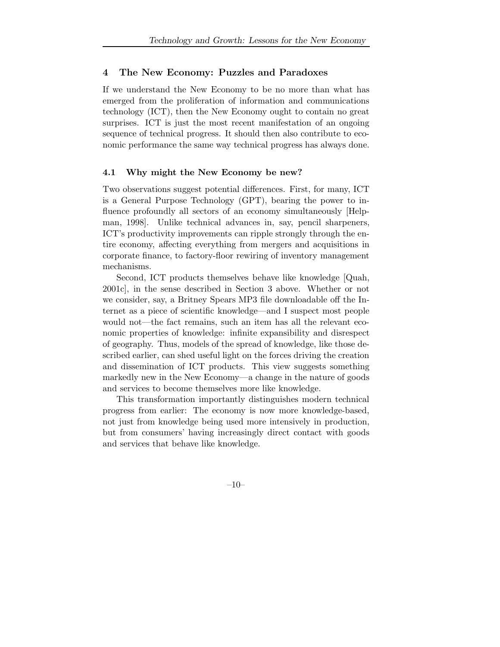#### **4 The New Economy: Puzzles and Paradoxes**

If we understand the New Economy to be no more than what has emerged from the proliferation of information and communications technology (ICT), then the New Economy ought to contain no great surprises. ICT is just the most recent manifestation of an ongoing sequence of technical progress. It should then also contribute to economic performance the same way technical progress has always done.

#### **4.1 Why might the New Economy be new?**

Two observations suggest potential differences. First, for many, ICT is a General Purpose Technology (GPT), bearing the power to influence profoundly all sectors of an economy simultaneously [Helpman, 1998]. Unlike technical advances in, say, pencil sharpeners, ICT's productivity improvements can ripple strongly through the entire economy, affecting everything from mergers and acquisitions in corporate finance, to factory-floor rewiring of inventory management mechanisms.

Second, ICT products themselves behave like knowledge [Quah, 2001c], in the sense described in Section 3 above. Whether or not we consider, say, a Britney Spears MP3 file downloadable off the Internet as a piece of scientific knowledge—and I suspect most people would not—the fact remains, such an item has all the relevant economic properties of knowledge: infinite expansibility and disrespect of geography. Thus, models of the spread of knowledge, like those described earlier, can shed useful light on the forces driving the creation and dissemination of ICT products. This view suggests something markedly new in the New Economy—a change in the nature of goods and services to become themselves more like knowledge.

This transformation importantly distinguishes modern technical progress from earlier: The economy is now more knowledge-based, not just from knowledge being used more intensively in production, but from consumers' having increasingly direct contact with goods and services that behave like knowledge.

–10–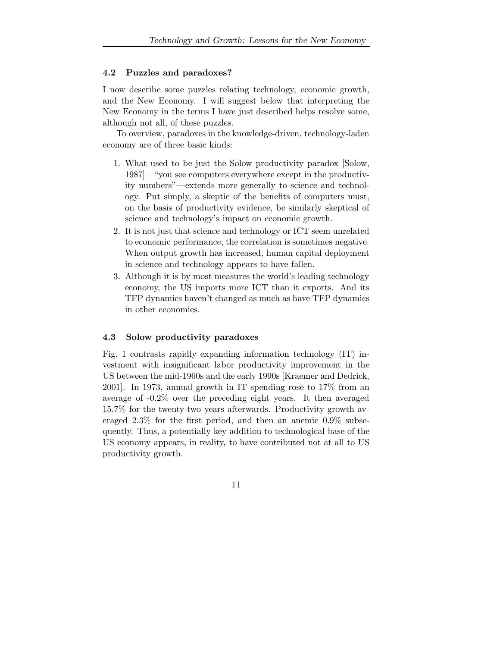#### **4.2 Puzzles and paradoxes?**

I now describe some puzzles relating technology, economic growth, and the New Economy. I will suggest below that interpreting the New Economy in the terms I have just described helps resolve some, although not all, of these puzzles.

To overview, paradoxes in the knowledge-driven, technology-laden economy are of three basic kinds:

- 1. What used to be just the Solow productivity paradox [Solow, 1987]—"you see computers everywhere except in the productivity numbers"—extends more generally to science and technology. Put simply, a skeptic of the benefits of computers must, on the basis of productivity evidence, be similarly skeptical of science and technology's impact on economic growth.
- 2. It is not just that science and technology or ICT seem unrelated to economic performance, the correlation is sometimes negative. When output growth has increased, human capital deployment in science and technology appears to have fallen.
- 3. Although it is by most measures the world's leading technology economy, the US imports more ICT than it exports. And its TFP dynamics haven't changed as much as have TFP dynamics in other economies.

#### **4.3 Solow productivity paradoxes**

Fig. 1 contrasts rapidly expanding information technology (IT) investment with insignificant labor productivity improvement in the US between the mid-1960s and the early 1990s [Kraemer and Dedrick, 2001]. In 1973, annual growth in IT spending rose to 17% from an average of -0.2% over the preceding eight years. It then averaged 15.7% for the twenty-two years afterwards. Productivity growth averaged 2.3% for the first period, and then an anemic 0.9% subsequently. Thus, a potentially key addition to technological base of the US economy appears, in reality, to have contributed not at all to US productivity growth.

–11–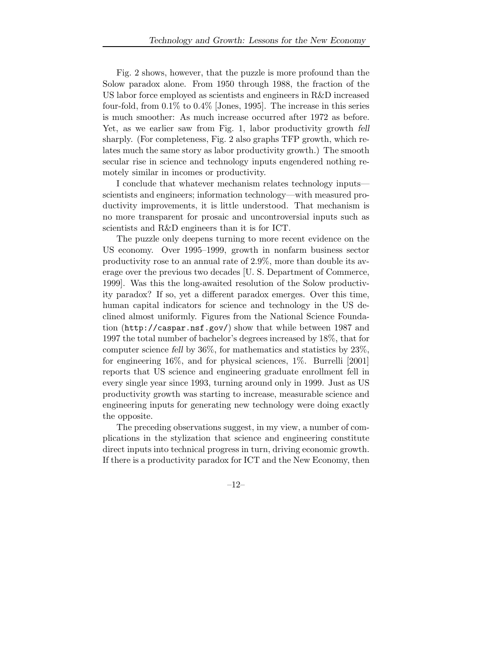Fig. 2 shows, however, that the puzzle is more profound than the Solow paradox alone. From 1950 through 1988, the fraction of the US labor force employed as scientists and engineers in R&D increased four-fold, from 0.1% to 0.4% [Jones, 1995]. The increase in this series is much smoother: As much increase occurred after 1972 as before. Yet, as we earlier saw from Fig. 1, labor productivity growth *fell* sharply. (For completeness, Fig. 2 also graphs TFP growth, which relates much the same story as labor productivity growth.) The smooth secular rise in science and technology inputs engendered nothing remotely similar in incomes or productivity.

I conclude that whatever mechanism relates technology inputs scientists and engineers; information technology—with measured productivity improvements, it is little understood. That mechanism is no more transparent for prosaic and uncontroversial inputs such as scientists and R&D engineers than it is for ICT.

The puzzle only deepens turning to more recent evidence on the US economy. Over 1995–1999, growth in nonfarm business sector productivity rose to an annual rate of 2.9%, more than double its average over the previous two decades [U. S. Department of Commerce, 1999]. Was this the long-awaited resolution of the Solow productivity paradox? If so, yet a different paradox emerges. Over this time, human capital indicators for science and technology in the US declined almost uniformly. Figures from the National Science Foundation (http://caspar.nsf.gov/) show that while between 1987 and 1997 the total number of bachelor's degrees increased by 18%, that for computer science *fell* by 36%, for mathematics and statistics by 23%, for engineering 16%, and for physical sciences, 1%. Burrelli [2001] reports that US science and engineering graduate enrollment fell in every single year since 1993, turning around only in 1999. Just as US productivity growth was starting to increase, measurable science and engineering inputs for generating new technology were doing exactly the opposite.

The preceding observations suggest, in my view, a number of complications in the stylization that science and engineering constitute direct inputs into technical progress in turn, driving economic growth. If there is a productivity paradox for ICT and the New Economy, then

–12–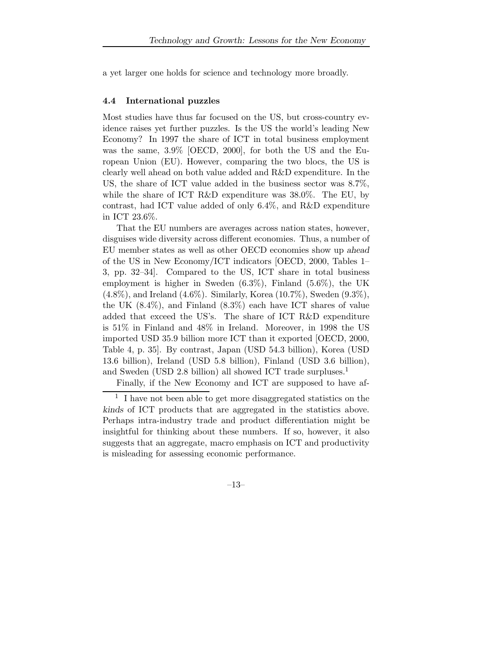a yet larger one holds for science and technology more broadly.

#### **4.4 International puzzles**

Most studies have thus far focused on the US, but cross-country evidence raises yet further puzzles. Is the US the world's leading New Economy? In 1997 the share of ICT in total business employment was the same, 3.9% [OECD, 2000], for both the US and the European Union (EU). However, comparing the two blocs, the US is clearly well ahead on both value added and R&D expenditure. In the US, the share of ICT value added in the business sector was 8.7%, while the share of ICT R&D expenditure was 38.0%. The EU, by contrast, had ICT value added of only 6.4%, and R&D expenditure in ICT 23.6%.

That the EU numbers are averages across nation states, however, disguises wide diversity across different economies. Thus, a number of EU member states as well as other OECD economies show up *ahead* of the US in New Economy/ICT indicators [OECD, 2000, Tables 1– 3, pp. 32–34]. Compared to the US, ICT share in total business employment is higher in Sweden (6.3%), Finland (5.6%), the UK  $(4.8\%)$ , and Ireland  $(4.6\%)$ . Similarly, Korea  $(10.7\%)$ , Sweden  $(9.3\%)$ , the UK  $(8.4\%)$ , and Finland  $(8.3\%)$  each have ICT shares of value added that exceed the US's. The share of ICT R&D expenditure is 51% in Finland and 48% in Ireland. Moreover, in 1998 the US imported USD 35.9 billion more ICT than it exported [OECD, 2000, Table 4, p. 35]. By contrast, Japan (USD 54.3 billion), Korea (USD 13.6 billion), Ireland (USD 5.8 billion), Finland (USD 3.6 billion), and Sweden (USD 2.8 billion) all showed ICT trade surpluses.<sup>1</sup>

Finally, if the New Economy and ICT are supposed to have af-

–13–

<sup>&</sup>lt;sup>1</sup> I have not been able to get more disaggregated statistics on the *kinds* of ICT products that are aggregated in the statistics above. Perhaps intra-industry trade and product differentiation might be insightful for thinking about these numbers. If so, however, it also suggests that an aggregate, macro emphasis on ICT and productivity is misleading for assessing economic performance.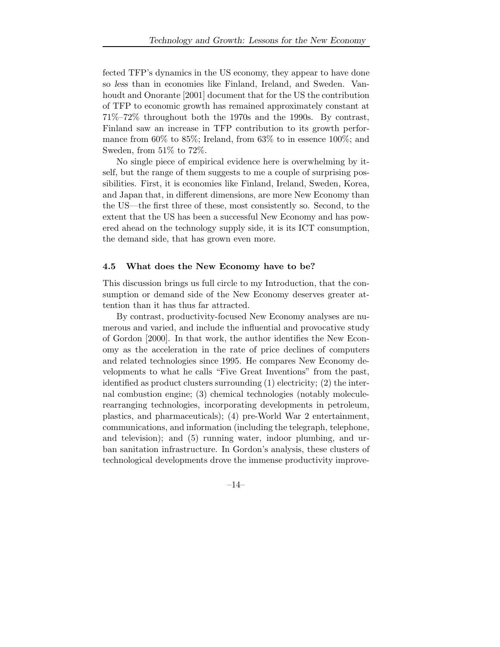fected TFP's dynamics in the US economy, they appear to have done so *less* than in economies like Finland, Ireland, and Sweden. Vanhoudt and Onorante [2001] document that for the US the contribution of TFP to economic growth has remained approximately constant at 71%–72% throughout both the 1970s and the 1990s. By contrast, Finland saw an increase in TFP contribution to its growth performance from 60% to 85%; Ireland, from 63% to in essence 100%; and Sweden, from 51% to 72%.

No single piece of empirical evidence here is overwhelming by itself, but the range of them suggests to me a couple of surprising possibilities. First, it is economies like Finland, Ireland, Sweden, Korea, and Japan that, in different dimensions, are more New Economy than the US—the first three of these, most consistently so. Second, to the extent that the US has been a successful New Economy and has powered ahead on the technology supply side, it is its ICT consumption, the demand side, that has grown even more.

#### **4.5 What does the New Economy have to be?**

This discussion brings us full circle to my Introduction, that the consumption or demand side of the New Economy deserves greater attention than it has thus far attracted.

By contrast, productivity-focused New Economy analyses are numerous and varied, and include the influential and provocative study of Gordon [2000]. In that work, the author identifies the New Economy as the acceleration in the rate of price declines of computers and related technologies since 1995. He compares New Economy developments to what he calls "Five Great Inventions" from the past, identified as product clusters surrounding (1) electricity; (2) the internal combustion engine; (3) chemical technologies (notably moleculerearranging technologies, incorporating developments in petroleum, plastics, and pharmaceuticals); (4) pre-World War 2 entertainment, communications, and information (including the telegraph, telephone, and television); and (5) running water, indoor plumbing, and urban sanitation infrastructure. In Gordon's analysis, these clusters of technological developments drove the immense productivity improve-

–14–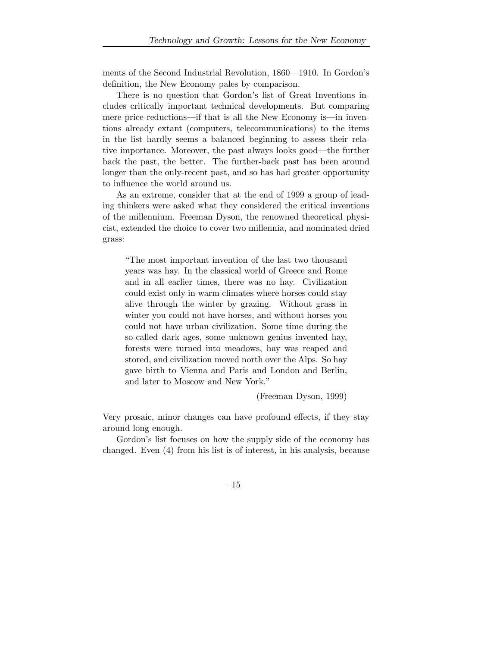ments of the Second Industrial Revolution, 1860—1910. In Gordon's definition, the New Economy pales by comparison.

There is no question that Gordon's list of Great Inventions includes critically important technical developments. But comparing mere price reductions—if that is all the New Economy is—in inventions already extant (computers, telecommunications) to the items in the list hardly seems a balanced beginning to assess their relative importance. Moreover, the past always looks good—the further back the past, the better. The further-back past has been around longer than the only-recent past, and so has had greater opportunity to influence the world around us.

As an extreme, consider that at the end of 1999 a group of leading thinkers were asked what they considered the critical inventions of the millennium. Freeman Dyson, the renowned theoretical physicist, extended the choice to cover two millennia, and nominated dried grass:

"The most important invention of the last two thousand years was hay. In the classical world of Greece and Rome and in all earlier times, there was no hay. Civilization could exist only in warm climates where horses could stay alive through the winter by grazing. Without grass in winter you could not have horses, and without horses you could not have urban civilization. Some time during the so-called dark ages, some unknown genius invented hay, forests were turned into meadows, hay was reaped and stored, and civilization moved north over the Alps. So hay gave birth to Vienna and Paris and London and Berlin, and later to Moscow and New York."

(Freeman Dyson, 1999)

Very prosaic, minor changes can have profound effects, if they stay around long enough.

Gordon's list focuses on how the supply side of the economy has changed. Even (4) from his list is of interest, in his analysis, because

–15–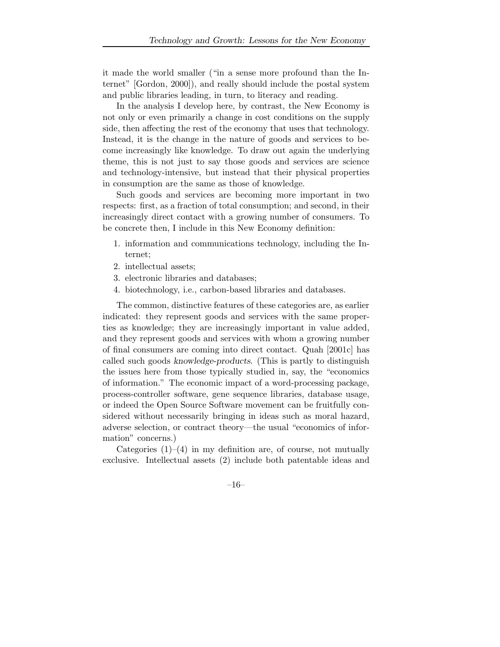it made the world smaller ("in a sense more profound than the Internet" [Gordon, 2000]), and really should include the postal system and public libraries leading, in turn, to literacy and reading.

In the analysis I develop here, by contrast, the New Economy is not only or even primarily a change in cost conditions on the supply side, then affecting the rest of the economy that uses that technology. Instead, it is the change in the nature of goods and services to become increasingly like knowledge. To draw out again the underlying theme, this is not just to say those goods and services are science and technology-intensive, but instead that their physical properties in consumption are the same as those of knowledge.

Such goods and services are becoming more important in two respects: first, as a fraction of total consumption; and second, in their increasingly direct contact with a growing number of consumers. To be concrete then, I include in this New Economy definition:

- 1. information and communications technology, including the Internet;
- 2. intellectual assets;
- 3. electronic libraries and databases;
- 4. biotechnology, i.e., carbon-based libraries and databases.

The common, distinctive features of these categories are, as earlier indicated: they represent goods and services with the same properties as knowledge; they are increasingly important in value added, and they represent goods and services with whom a growing number of final consumers are coming into direct contact. Quah [2001c] has called such goods *knowledge-products*. (This is partly to distinguish the issues here from those typically studied in, say, the "economics of information." The economic impact of a word-processing package, process-controller software, gene sequence libraries, database usage, or indeed the Open Source Software movement can be fruitfully considered without necessarily bringing in ideas such as moral hazard, adverse selection, or contract theory—the usual "economics of information" concerns.)

Categories  $(1)$ – $(4)$  in my definition are, of course, not mutually exclusive. Intellectual assets (2) include both patentable ideas and

–16–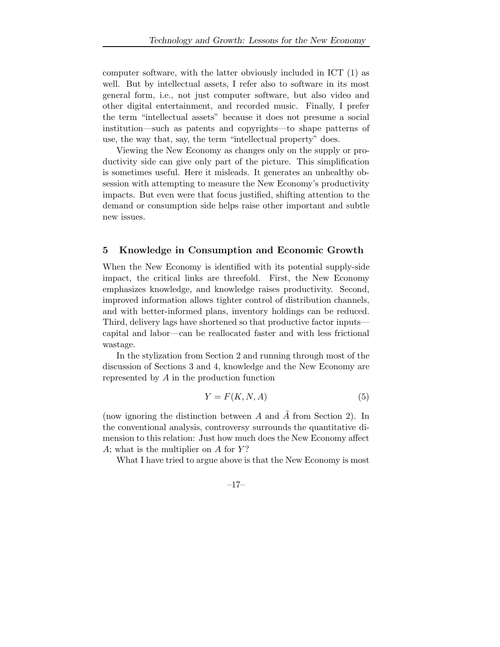computer software, with the latter obviously included in ICT (1) as well. But by intellectual assets, I refer also to software in its most general form, i.e., not just computer software, but also video and other digital entertainment, and recorded music. Finally, I prefer the term "intellectual assets" because it does not presume a social institution—such as patents and copyrights—to shape patterns of use, the way that, say, the term "intellectual property" does.

Viewing the New Economy as changes only on the supply or productivity side can give only part of the picture. This simplification is sometimes useful. Here it misleads. It generates an unhealthy obsession with attempting to measure the New Economy's productivity impacts. But even were that focus justified, shifting attention to the demand or consumption side helps raise other important and subtle new issues.

#### **5 Knowledge in Consumption and Economic Growth**

When the New Economy is identified with its potential supply-side impact, the critical links are threefold. First, the New Economy emphasizes knowledge, and knowledge raises productivity. Second, improved information allows tighter control of distribution channels, and with better-informed plans, inventory holdings can be reduced. Third, delivery lags have shortened so that productive factor inputs capital and labor—can be reallocated faster and with less frictional wastage.

In the stylization from Section 2 and running through most of the discussion of Sections 3 and 4, knowledge and the New Economy are represented by  $A$  in the production function

$$
Y = F(K, N, A) \tag{5}
$$

(now ignoring the distinction between  $A$  and  $A$  from Section 2). In the conventional analysis, controversy surrounds the quantitative dimension to this relation: Just how much does the New Economy affect A; what is the multiplier on  $A$  for  $Y$ ?

What I have tried to argue above is that the New Economy is most

$$
-17-
$$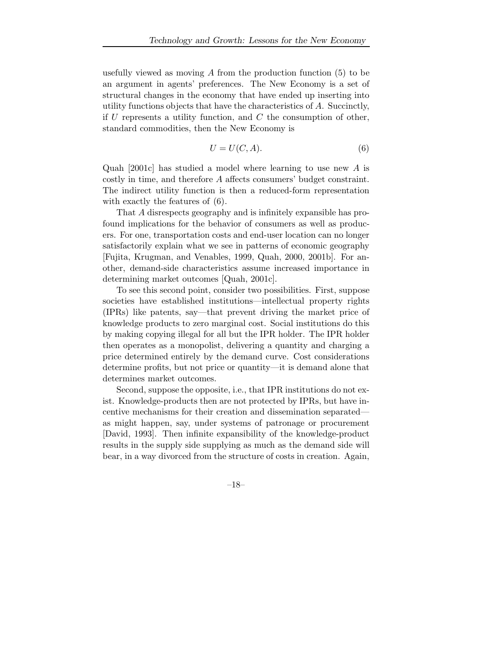usefully viewed as moving A from the production function  $(5)$  to be an argument in agents' preferences. The New Economy is a set of structural changes in the economy that have ended up inserting into utility functions objects that have the characteristics of A. Succinctly, if  $U$  represents a utility function, and  $C$  the consumption of other, standard commodities, then the New Economy is

$$
U = U(C, A). \tag{6}
$$

Quah [2001c] has studied a model where learning to use new A is costly in time, and therefore A affects consumers' budget constraint. The indirect utility function is then a reduced-form representation with exactly the features of (6).

That A disrespects geography and is infinitely expansible has profound implications for the behavior of consumers as well as producers. For one, transportation costs and end-user location can no longer satisfactorily explain what we see in patterns of economic geography [Fujita, Krugman, and Venables, 1999, Quah, 2000, 2001b]. For another, demand-side characteristics assume increased importance in determining market outcomes [Quah, 2001c].

To see this second point, consider two possibilities. First, suppose societies have established institutions—intellectual property rights (IPRs) like patents, say—that prevent driving the market price of knowledge products to zero marginal cost. Social institutions do this by making copying illegal for all but the IPR holder. The IPR holder then operates as a monopolist, delivering a quantity and charging a price determined entirely by the demand curve. Cost considerations determine profits, but not price or quantity—it is demand alone that determines market outcomes.

Second, suppose the opposite, i.e., that IPR institutions do not exist. Knowledge-products then are not protected by IPRs, but have incentive mechanisms for their creation and dissemination separated as might happen, say, under systems of patronage or procurement [David, 1993]. Then infinite expansibility of the knowledge-product results in the supply side supplying as much as the demand side will bear, in a way divorced from the structure of costs in creation. Again,

–18–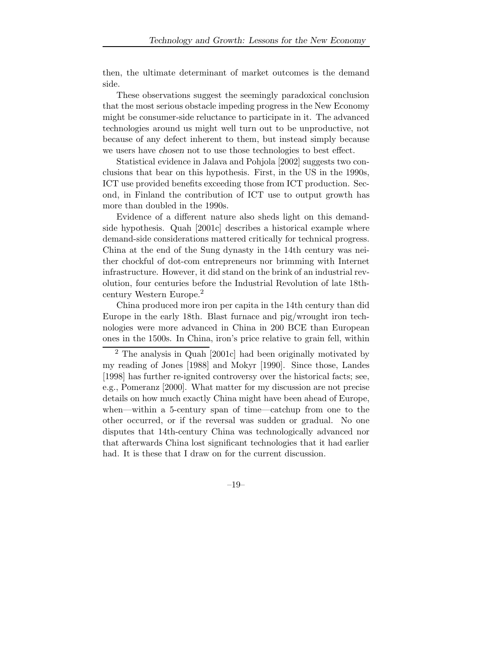then, the ultimate determinant of market outcomes is the demand side.

These observations suggest the seemingly paradoxical conclusion that the most serious obstacle impeding progress in the New Economy might be consumer-side reluctance to participate in it. The advanced technologies around us might well turn out to be unproductive, not because of any defect inherent to them, but instead simply because we users have *chosen* not to use those technologies to best effect.

Statistical evidence in Jalava and Pohjola [2002] suggests two conclusions that bear on this hypothesis. First, in the US in the 1990s, ICT use provided benefits exceeding those from ICT production. Second, in Finland the contribution of ICT use to output growth has more than doubled in the 1990s.

Evidence of a different nature also sheds light on this demandside hypothesis. Quah [2001c] describes a historical example where demand-side considerations mattered critically for technical progress. China at the end of the Sung dynasty in the 14th century was neither chockful of dot-com entrepreneurs nor brimming with Internet infrastructure. However, it did stand on the brink of an industrial revolution, four centuries before the Industrial Revolution of late 18thcentury Western Europe.<sup>2</sup>

China produced more iron per capita in the 14th century than did Europe in the early 18th. Blast furnace and pig/wrought iron technologies were more advanced in China in 200 BCE than European ones in the 1500s. In China, iron's price relative to grain fell, within

–19–

<sup>2</sup> The analysis in Quah [2001c] had been originally motivated by my reading of Jones [1988] and Mokyr [1990]. Since those, Landes [1998] has further re-ignited controversy over the historical facts; see, e.g., Pomeranz [2000]. What matter for my discussion are not precise details on how much exactly China might have been ahead of Europe, when—within a 5-century span of time—catchup from one to the other occurred, or if the reversal was sudden or gradual. No one disputes that 14th-century China was technologically advanced nor that afterwards China lost significant technologies that it had earlier had. It is these that I draw on for the current discussion.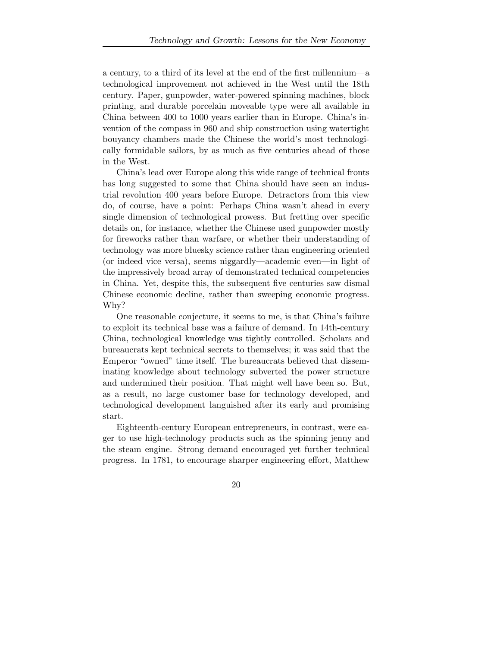a century, to a third of its level at the end of the first millennium—a technological improvement not achieved in the West until the 18th century. Paper, gunpowder, water-powered spinning machines, block printing, and durable porcelain moveable type were all available in China between 400 to 1000 years earlier than in Europe. China's invention of the compass in 960 and ship construction using watertight bouyancy chambers made the Chinese the world's most technologically formidable sailors, by as much as five centuries ahead of those in the West.

China's lead over Europe along this wide range of technical fronts has long suggested to some that China should have seen an industrial revolution 400 years before Europe. Detractors from this view do, of course, have a point: Perhaps China wasn't ahead in every single dimension of technological prowess. But fretting over specific details on, for instance, whether the Chinese used gunpowder mostly for fireworks rather than warfare, or whether their understanding of technology was more bluesky science rather than engineering oriented (or indeed vice versa), seems niggardly—academic even—in light of the impressively broad array of demonstrated technical competencies in China. Yet, despite this, the subsequent five centuries saw dismal Chinese economic decline, rather than sweeping economic progress. Why?

One reasonable conjecture, it seems to me, is that China's failure to exploit its technical base was a failure of demand. In 14th-century China, technological knowledge was tightly controlled. Scholars and bureaucrats kept technical secrets to themselves; it was said that the Emperor "owned" time itself. The bureaucrats believed that disseminating knowledge about technology subverted the power structure and undermined their position. That might well have been so. But, as a result, no large customer base for technology developed, and technological development languished after its early and promising start.

Eighteenth-century European entrepreneurs, in contrast, were eager to use high-technology products such as the spinning jenny and the steam engine. Strong demand encouraged yet further technical progress. In 1781, to encourage sharper engineering effort, Matthew

–20–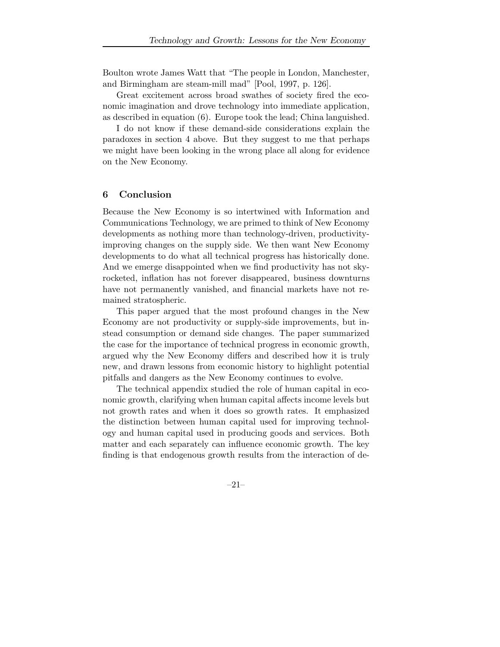Boulton wrote James Watt that "The people in London, Manchester, and Birmingham are steam-mill mad" [Pool, 1997, p. 126].

Great excitement across broad swathes of society fired the economic imagination and drove technology into immediate application, as described in equation (6). Europe took the lead; China languished.

I do not know if these demand-side considerations explain the paradoxes in section 4 above. But they suggest to me that perhaps we might have been looking in the wrong place all along for evidence on the New Economy.

#### **6 Conclusion**

Because the New Economy is so intertwined with Information and Communications Technology, we are primed to think of New Economy developments as nothing more than technology-driven, productivityimproving changes on the supply side. We then want New Economy developments to do what all technical progress has historically done. And we emerge disappointed when we find productivity has not skyrocketed, inflation has not forever disappeared, business downturns have not permanently vanished, and financial markets have not remained stratospheric.

This paper argued that the most profound changes in the New Economy are not productivity or supply-side improvements, but instead consumption or demand side changes. The paper summarized the case for the importance of technical progress in economic growth, argued why the New Economy differs and described how it is truly new, and drawn lessons from economic history to highlight potential pitfalls and dangers as the New Economy continues to evolve.

The technical appendix studied the role of human capital in economic growth, clarifying when human capital affects income levels but not growth rates and when it does so growth rates. It emphasized the distinction between human capital used for improving technology and human capital used in producing goods and services. Both matter and each separately can influence economic growth. The key finding is that endogenous growth results from the interaction of de-

–21–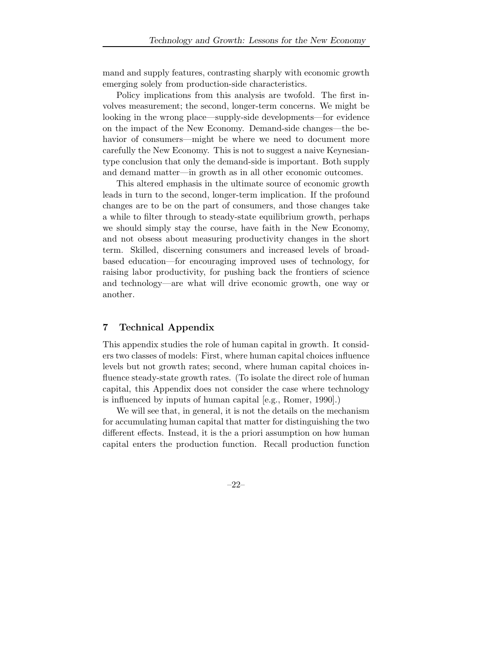mand and supply features, contrasting sharply with economic growth emerging solely from production-side characteristics.

Policy implications from this analysis are twofold. The first involves measurement; the second, longer-term concerns. We might be looking in the wrong place—supply-side developments—for evidence on the impact of the New Economy. Demand-side changes—the behavior of consumers—might be where we need to document more carefully the New Economy. This is not to suggest a naive Keynesiantype conclusion that only the demand-side is important. Both supply and demand matter—in growth as in all other economic outcomes.

This altered emphasis in the ultimate source of economic growth leads in turn to the second, longer-term implication. If the profound changes are to be on the part of consumers, and those changes take a while to filter through to steady-state equilibrium growth, perhaps we should simply stay the course, have faith in the New Economy, and not obsess about measuring productivity changes in the short term. Skilled, discerning consumers and increased levels of broadbased education—for encouraging improved uses of technology, for raising labor productivity, for pushing back the frontiers of science and technology—are what will drive economic growth, one way or another.

#### **7 Technical Appendix**

This appendix studies the role of human capital in growth. It considers two classes of models: First, where human capital choices influence levels but not growth rates; second, where human capital choices influence steady-state growth rates. (To isolate the direct role of human capital, this Appendix does not consider the case where technology is influenced by inputs of human capital [e.g., Romer, 1990].)

We will see that, in general, it is not the details on the mechanism for accumulating human capital that matter for distinguishing the two different effects. Instead, it is the a priori assumption on how human capital enters the production function. Recall production function

–22–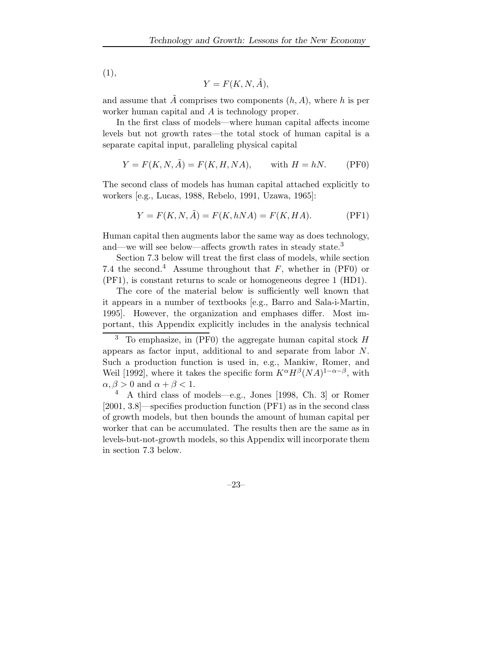(1),

$$
Y = F(K, N, \tilde{A}),
$$

and assume that  $\tilde{A}$  comprises two components  $(h, A)$ , where h is per worker human capital and A is technology proper.

In the first class of models—where human capital affects income levels but not growth rates—the total stock of human capital is a separate capital input, paralleling physical capital

$$
Y = F(K, N, \tilde{A}) = F(K, H, NA), \quad \text{with } H = hN. \quad (PF0)
$$

The second class of models has human capital attached explicitly to workers [e.g., Lucas, 1988, Rebelo, 1991, Uzawa, 1965]:

$$
Y = F(K, N, \tilde{A}) = F(K, hNA) = F(K, HA). \tag{PF1}
$$

Human capital then augments labor the same way as does technology, and—we will see below—affects growth rates in steady state.<sup>3</sup>

Section 7.3 below will treat the first class of models, while section 7.4 the second.<sup>4</sup> Assume throughout that F, whether in (PF0) or (PF1), is constant returns to scale or homogeneous degree 1 (HD1).

The core of the material below is sufficiently well known that it appears in a number of textbooks [e.g., Barro and Sala-i-Martin, 1995]. However, the organization and emphases differ. Most important, this Appendix explicitly includes in the analysis technical

–23–

<sup>&</sup>lt;sup>3</sup> To emphasize, in (PF0) the aggregate human capital stock  $H$ appears as factor input, additional to and separate from labor N. Such a production function is used in, e.g., Mankiw, Romer, and Weil [1992], where it takes the specific form  $K^{\alpha}H^{\beta}(NA)^{1-\alpha-\beta}$ , with  $\alpha, \beta > 0$  and  $\alpha + \beta < 1$ .

<sup>4</sup> A third class of models—e.g., Jones [1998, Ch. 3] or Romer [2001, 3.8]—specifies production function (PF1) as in the second class of growth models, but then bounds the amount of human capital per worker that can be accumulated. The results then are the same as in levels-but-not-growth models, so this Appendix will incorporate them in section 7.3 below.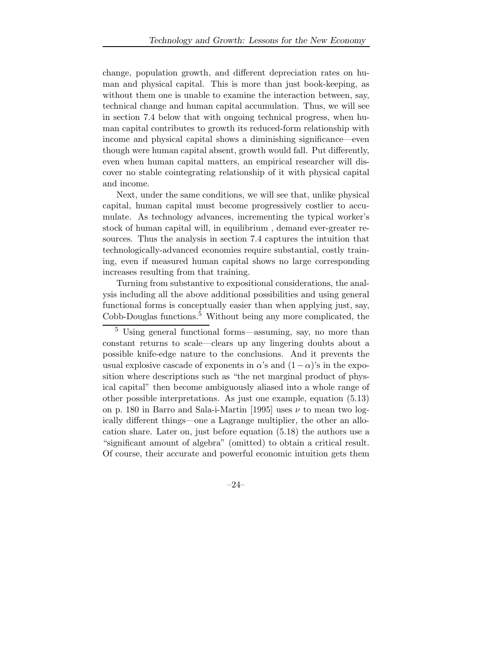change, population growth, and different depreciation rates on human and physical capital. This is more than just book-keeping, as without them one is unable to examine the interaction between, say, technical change and human capital accumulation. Thus, we will see in section 7.4 below that with ongoing technical progress, when human capital contributes to growth its reduced-form relationship with income and physical capital shows a diminishing significance—even though were human capital absent, growth would fall. Put differently, even when human capital matters, an empirical researcher will discover no stable cointegrating relationship of it with physical capital and income.

Next, under the same conditions, we will see that, unlike physical capital, human capital must become progressively costlier to accumulate. As technology advances, incrementing the typical worker's stock of human capital will, in equilibrium , demand ever-greater resources. Thus the analysis in section 7.4 captures the intuition that technologically-advanced economies require substantial, costly training, even if measured human capital shows no large corresponding increases resulting from that training.

Turning from substantive to expositional considerations, the analysis including all the above additional possibilities and using general functional forms is conceptually easier than when applying just, say, Cobb-Douglas functions.<sup>5</sup> Without being any more complicated, the

–24–

<sup>5</sup> Using general functional forms—assuming, say, no more than constant returns to scale—clears up any lingering doubts about a possible knife-edge nature to the conclusions. And it prevents the usual explosive cascade of exponents in  $\alpha$ 's and  $(1-\alpha)$ 's in the exposition where descriptions such as "the net marginal product of physical capital" then become ambiguously aliased into a whole range of other possible interpretations. As just one example, equation (5.13) on p. 180 in Barro and Sala-i-Martin [1995] uses  $\nu$  to mean two logically different things—one a Lagrange multiplier, the other an allocation share. Later on, just before equation (5.18) the authors use a "significant amount of algebra" (omitted) to obtain a critical result. Of course, their accurate and powerful economic intuition gets them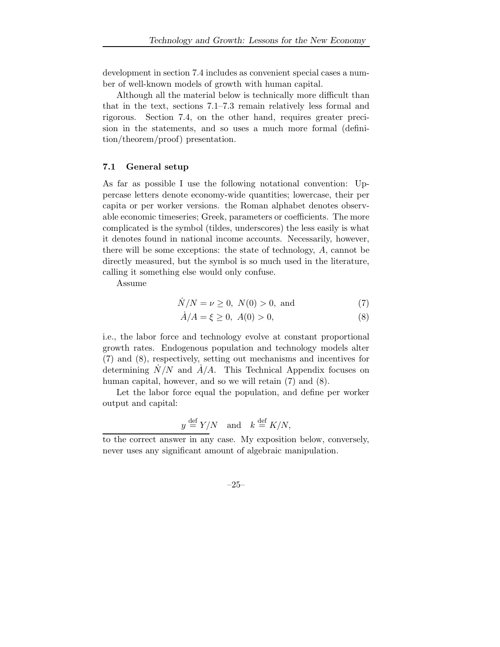development in section 7.4 includes as convenient special cases a number of well-known models of growth with human capital.

Although all the material below is technically more difficult than that in the text, sections 7.1–7.3 remain relatively less formal and rigorous. Section 7.4, on the other hand, requires greater precision in the statements, and so uses a much more formal (definition/theorem/proof) presentation.

#### **7.1 General setup**

As far as possible I use the following notational convention: Uppercase letters denote economy-wide quantities; lowercase, their per capita or per worker versions. the Roman alphabet denotes observable economic timeseries; Greek, parameters or coefficients. The more complicated is the symbol (tildes, underscores) the less easily is what it denotes found in national income accounts. Necessarily, however, there will be some exceptions: the state of technology, A, cannot be directly measured, but the symbol is so much used in the literature, calling it something else would only confuse.

Assume

$$
\dot{N}/N = \nu \ge 0, \ N(0) > 0, \text{ and} \tag{7}
$$

$$
\dot{A}/A = \xi \ge 0, \ A(0) > 0,\tag{8}
$$

i.e., the labor force and technology evolve at constant proportional growth rates. Endogenous population and technology models alter (7) and (8), respectively, setting out mechanisms and incentives for determining  $\dot{N}/N$  and  $\dot{A}/A$ . This Technical Appendix focuses on human capital, however, and so we will retain  $(7)$  and  $(8)$ .

Let the labor force equal the population, and define per worker output and capital:

$$
y \stackrel{\text{def}}{=} Y/N
$$
 and  $k \stackrel{\text{def}}{=} K/N$ ,

to the correct answer in any case. My exposition below, conversely, never uses any significant amount of algebraic manipulation.

<sup>–25–</sup>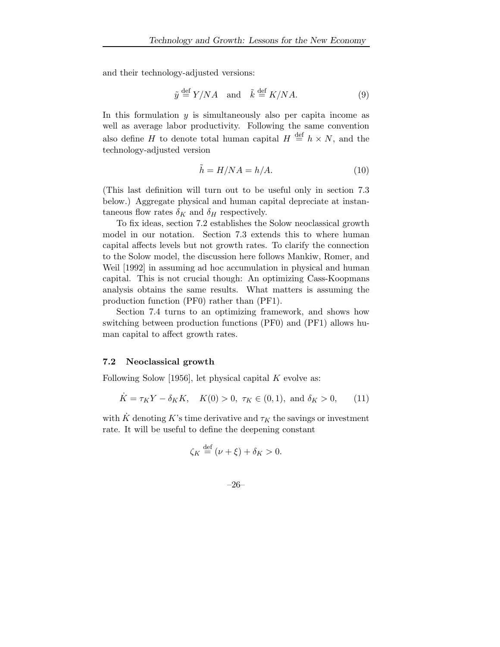and their technology-adjusted versions:

$$
\tilde{y} \stackrel{\text{def}}{=} Y/NA \quad \text{and} \quad \tilde{k} \stackrel{\text{def}}{=} K/NA. \tag{9}
$$

In this formulation  $y$  is simultaneously also per capita income as well as average labor productivity. Following the same convention also define H to denote total human capital  $H \stackrel{\text{def}}{=} h \times N$ , and the technology-adjusted version

$$
\tilde{h} = H/NA = h/A.
$$
\n(10)

(This last definition will turn out to be useful only in section 7.3 below.) Aggregate physical and human capital depreciate at instantaneous flow rates  $\delta_K$  and  $\delta_H$  respectively.

To fix ideas, section 7.2 establishes the Solow neoclassical growth model in our notation. Section 7.3 extends this to where human capital affects levels but not growth rates. To clarify the connection to the Solow model, the discussion here follows Mankiw, Romer, and Weil [1992] in assuming ad hoc accumulation in physical and human capital. This is not crucial though: An optimizing Cass-Koopmans analysis obtains the same results. What matters is assuming the production function (PF0) rather than (PF1).

Section 7.4 turns to an optimizing framework, and shows how switching between production functions (PF0) and (PF1) allows human capital to affect growth rates.

#### **7.2 Neoclassical growth**

Following Solow [1956], let physical capital  $K$  evolve as:

$$
\dot{K} = \tau_K Y - \delta_K K, \quad K(0) > 0, \ \tau_K \in (0, 1), \text{ and } \delta_K > 0,
$$
 (11)

with K denoting K's time derivative and  $\tau_K$  the savings or investment rate. It will be useful to define the deepening constant

$$
\zeta_K \stackrel{\text{def}}{=} (\nu + \xi) + \delta_K > 0.
$$

–26–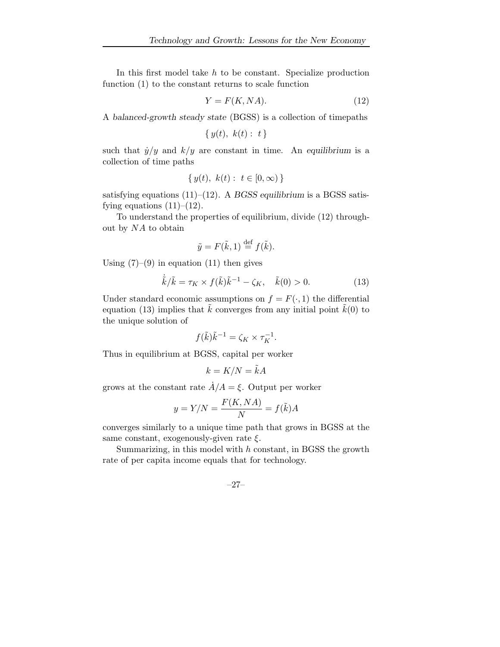In this first model take  $h$  to be constant. Specialize production function (1) to the constant returns to scale function

$$
Y = F(K, NA). \t(12)
$$

A *balanced-growth steady state* (BGSS) is a collection of timepaths

$$
\{y(t), k(t): t\}
$$

such that  $\dot{y}/y$  and  $k/y$  are constant in time. An *equilibrium* is a collection of time paths

$$
\{y(t), k(t): t \in [0, \infty)\}
$$

satisfying equations (11)–(12). A *BGSS equilibrium* is a BGSS satisfying equations  $(11)–(12)$ .

To understand the properties of equilibrium, divide (12) throughout by NA to obtain

$$
\tilde{y} = F(\tilde{k}, 1) \stackrel{\text{def}}{=} f(\tilde{k}).
$$

Using  $(7)-(9)$  in equation  $(11)$  then gives

$$
\dot{\tilde{k}}/\tilde{k} = \tau_K \times f(\tilde{k})\tilde{k}^{-1} - \zeta_K, \quad \tilde{k}(0) > 0.
$$
 (13)

Under standard economic assumptions on  $f = F(\cdot, 1)$  the differential equation (13) implies that  $\tilde{k}$  converges from any initial point  $\tilde{k}(0)$  to the unique solution of

$$
f(\tilde{k})\tilde{k}^{-1} = \zeta_K \times \tau_K^{-1}.
$$

Thus in equilibrium at BGSS, capital per worker

$$
k = K/N = \tilde{k}A
$$

grows at the constant rate  $\dot{A}/A = \xi$ . Output per worker

$$
y = Y/N = \frac{F(K, NA)}{N} = f(\tilde{k})A
$$

converges similarly to a unique time path that grows in BGSS at the same constant, exogenously-given rate  $\xi$ .

Summarizing, in this model with  $h$  constant, in BGSS the growth rate of per capita income equals that for technology.

$$
-27-
$$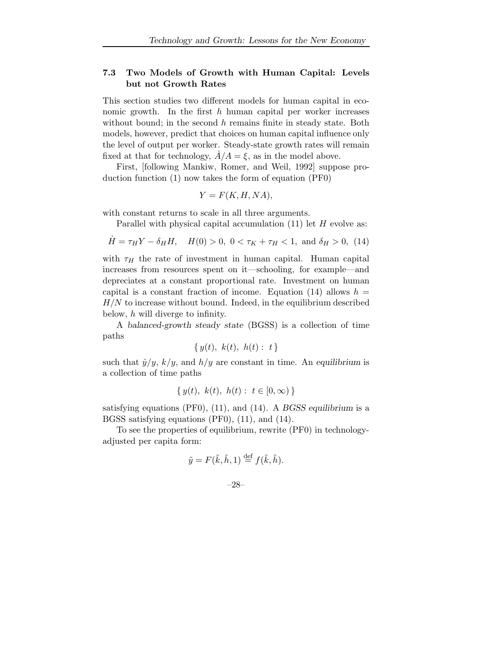#### **7.3 Two Models of Growth with Human Capital: Levels but not Growth Rates**

This section studies two different models for human capital in economic growth. In the first  $h$  human capital per worker increases without bound; in the second  $h$  remains finite in steady state. Both models, however, predict that choices on human capital influence only the level of output per worker. Steady-state growth rates will remain fixed at that for technology,  $\dot{A}/A = \xi$ , as in the model above.

First, [following Mankiw, Romer, and Weil, 1992] suppose production function (1) now takes the form of equation (PF0)

$$
Y = F(K, H, NA),
$$

with constant returns to scale in all three arguments.

Parallel with physical capital accumulation  $(11)$  let H evolve as:

$$
\dot{H} = \tau_H Y - \delta_H H, \quad H(0) > 0, \ 0 < \tau_K + \tau_H < 1, \text{ and } \delta_H > 0, \ (14)
$$

with  $\tau_H$  the rate of investment in human capital. Human capital increases from resources spent on it—schooling, for example—and depreciates at a constant proportional rate. Investment on human capital is a constant fraction of income. Equation (14) allows  $h =$  $H/N$  to increase without bound. Indeed, in the equilibrium described below, h will diverge to infinity.

A *balanced-growth steady state* (BGSS) is a collection of time paths

$$
\{y(t), k(t), h(t): t\}
$$

such that  $\dot{y}/y$ ,  $k/y$ , and  $h/y$  are constant in time. An *equilibrium* is a collection of time paths

$$
\{y(t), k(t), h(t): t \in [0, \infty)\}\
$$

satisfying equations (PF0), (11), and (14). A *BGSS equilibrium* is a BGSS satisfying equations (PF0), (11), and (14).

To see the properties of equilibrium, rewrite (PF0) in technologyadjusted per capita form:

$$
\tilde{y} = F(\tilde{k}, \tilde{h}, 1) \stackrel{\text{def}}{=} f(\tilde{k}, \tilde{h}).
$$

–28–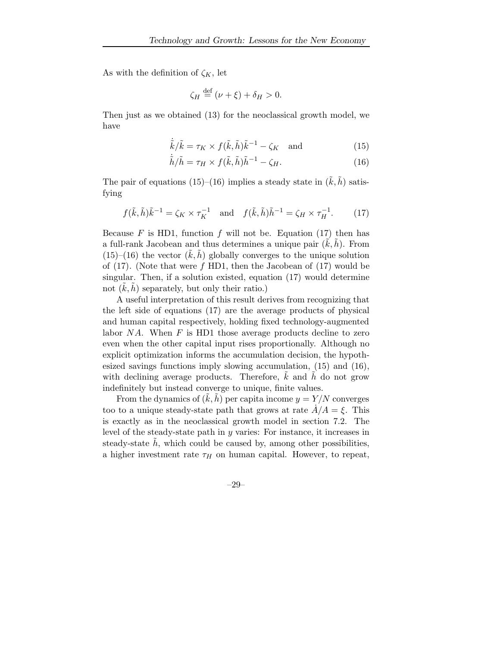As with the definition of  $\zeta_K$ , let

$$
\zeta_H \stackrel{\text{def}}{=} (\nu + \xi) + \delta_H > 0.
$$

Then just as we obtained (13) for the neoclassical growth model, we have

$$
\dot{\tilde{k}}/\tilde{k} = \tau_K \times f(\tilde{k}, \tilde{h})\tilde{k}^{-1} - \zeta_K \quad \text{and} \tag{15}
$$

$$
\dot{\tilde{h}}/\tilde{h} = \tau_H \times f(\tilde{k}, \tilde{h})\tilde{h}^{-1} - \zeta_H.
$$
\n(16)

The pair of equations (15)–(16) implies a steady state in  $(\tilde{k}, \tilde{h})$  satisfying

$$
f(\tilde{k},\tilde{h})\tilde{k}^{-1} = \zeta_K \times \tau_K^{-1} \quad \text{and} \quad f(\tilde{k},\tilde{h})\tilde{h}^{-1} = \zeta_H \times \tau_H^{-1}.\tag{17}
$$

Because  $F$  is HD1, function  $f$  will not be. Equation (17) then has a full-rank Jacobean and thus determines a unique pair  $(\tilde{k}, \tilde{h})$ . From  $(15)$ – $(16)$  the vector  $(\tilde{k}, \tilde{h})$  globally converges to the unique solution of  $(17)$ . (Note that were f HD1, then the Jacobean of  $(17)$  would be singular. Then, if a solution existed, equation (17) would determine not  $(\tilde{k}, \tilde{h})$  separately, but only their ratio.)

A useful interpretation of this result derives from recognizing that the left side of equations (17) are the average products of physical and human capital respectively, holding fixed technology-augmented labor  $NA$ . When  $F$  is HD1 those average products decline to zero even when the other capital input rises proportionally. Although no explicit optimization informs the accumulation decision, the hypothesized savings functions imply slowing accumulation,  $(15)$  and  $(16)$ , with declining average products. Therefore,  $\tilde{k}$  and  $\tilde{h}$  do not grow indefinitely but instead converge to unique, finite values.

From the dynamics of  $(\tilde{k}, \tilde{h})$  per capita income  $y = Y/N$  converges too to a unique steady-state path that grows at rate  $\dot{A}/A = \xi$ . This is exactly as in the neoclassical growth model in section 7.2. The level of the steady-state path in y varies: For instance, it increases in steady-state  $h$ , which could be caused by, among other possibilities, a higher investment rate  $\tau_H$  on human capital. However, to repeat,

–29–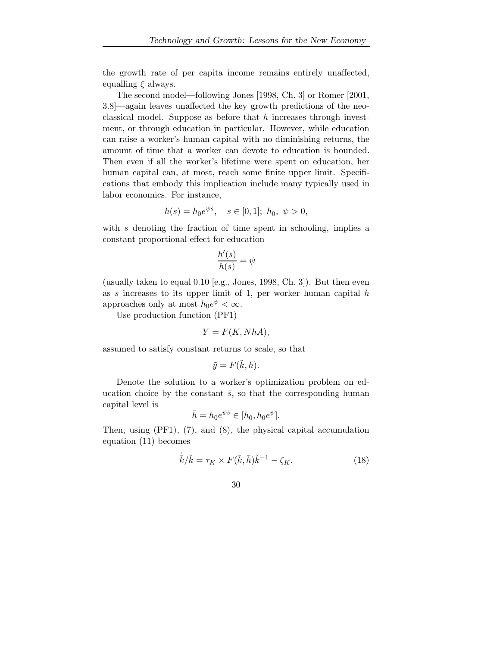the growth rate of per capita income remains entirely unaffected, equalling  $\xi$  always.

The second model—following Jones [1998, Ch. 3] or Romer [2001, 3.8]—again leaves unaffected the key growth predictions of the neoclassical model. Suppose as before that h increases through investment, or through education in particular. However, while education can raise a worker's human capital with no diminishing returns, the amount of time that a worker can devote to education is bounded. Then even if all the worker's lifetime were spent on education, her human capital can, at most, reach some finite upper limit. Specifications that embody this implication include many typically used in labor economics. For instance,

$$
h(s) = h_0 e^{\psi s}, \quad s \in [0, 1]; \ h_0, \ \psi > 0,
$$

with s denoting the fraction of time spent in schooling, implies a constant proportional effect for education

$$
\frac{h'(s)}{h(s)} = \psi
$$

(usually taken to equal 0.10 [e.g., Jones, 1998, Ch. 3]). But then even as s increases to its upper limit of 1, per worker human capital  $h$ approaches only at most  $h_0e^{\psi} < \infty$ .

Use production function (PF1)

$$
Y = F(K, NhA),
$$

assumed to satisfy constant returns to scale, so that

$$
\tilde{y} = F(\tilde{k}, h).
$$

Denote the solution to a worker's optimization problem on education choice by the constant  $\bar{s}$ , so that the corresponding human capital level is

$$
\bar{h} = h_0 e^{\psi \bar{s}} \in [h_0, h_0 e^{\psi}].
$$

Then, using (PF1), (7), and (8), the physical capital accumulation equation (11) becomes

$$
\dot{\tilde{k}}/\tilde{k} = \tau_K \times F(\tilde{k}, \bar{h})\tilde{k}^{-1} - \zeta_K.
$$
 (18)

$$
-30-
$$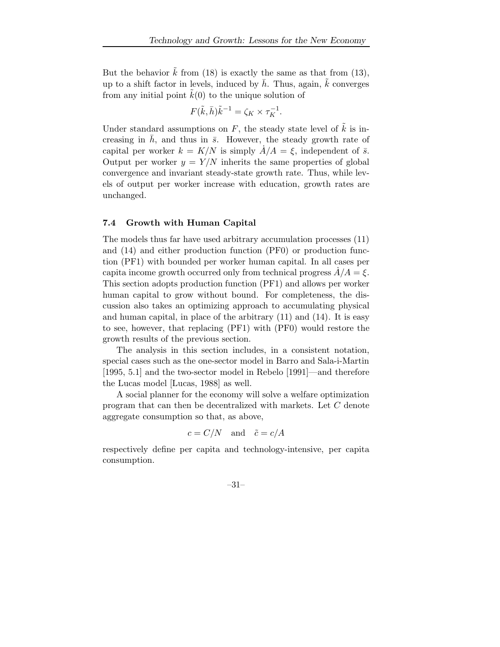But the behavior  $\tilde{k}$  from (18) is exactly the same as that from (13), up to a shift factor in levels, induced by  $\bar{h}$ . Thus, again,  $\tilde{k}$  converges from any initial point  $\tilde{k}(0)$  to the unique solution of

$$
F(\tilde{k}, \bar{h})\tilde{k}^{-1} = \zeta_K \times \tau_K^{-1}.
$$

Under standard assumptions on F, the steady state level of  $\tilde{k}$  is increasing in  $\bar{h}$ , and thus in  $\bar{s}$ . However, the steady growth rate of capital per worker  $k = K/N$  is simply  $A/A = \xi$ , independent of  $\bar{s}$ . Output per worker  $y = Y/N$  inherits the same properties of global convergence and invariant steady-state growth rate. Thus, while levels of output per worker increase with education, growth rates are unchanged.

#### **7.4 Growth with Human Capital**

The models thus far have used arbitrary accumulation processes (11) and (14) and either production function (PF0) or production function (PF1) with bounded per worker human capital. In all cases per capita income growth occurred only from technical progress  $A/A = \xi$ . This section adopts production function (PF1) and allows per worker human capital to grow without bound. For completeness, the discussion also takes an optimizing approach to accumulating physical and human capital, in place of the arbitrary (11) and (14). It is easy to see, however, that replacing (PF1) with (PF0) would restore the growth results of the previous section.

The analysis in this section includes, in a consistent notation, special cases such as the one-sector model in Barro and Sala-i-Martin [1995, 5.1] and the two-sector model in Rebelo [1991]—and therefore the Lucas model [Lucas, 1988] as well.

A social planner for the economy will solve a welfare optimization program that can then be decentralized with markets. Let C denote aggregate consumption so that, as above,

$$
c = C/N
$$
 and  $\tilde{c} = c/A$ 

respectively define per capita and technology-intensive, per capita consumption.

–31–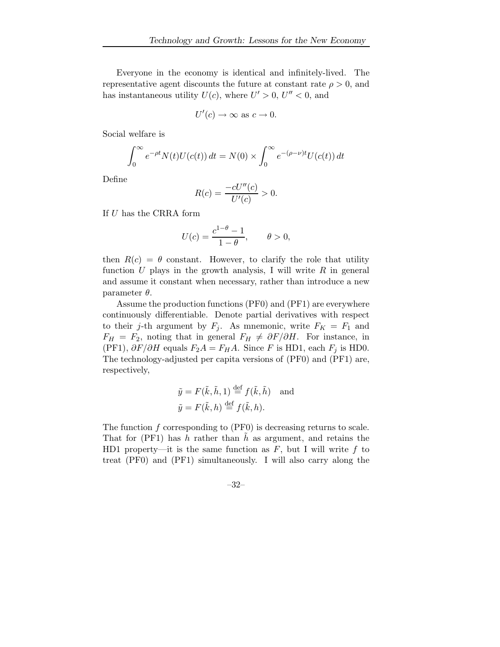Everyone in the economy is identical and infinitely-lived. The representative agent discounts the future at constant rate  $\rho > 0$ , and has instantaneous utility  $U(c)$ , where  $U' > 0$ ,  $U'' < 0$ , and

$$
U'(c) \rightarrow \infty
$$
 as  $c \rightarrow 0$ .

Social welfare is

$$
\int_0^\infty e^{-\rho t} N(t) U(c(t)) dt = N(0) \times \int_0^\infty e^{-(\rho - \nu)t} U(c(t)) dt
$$

Define

$$
R(c) = \frac{-cU''(c)}{U'(c)} > 0.
$$

If U has the CRRA form

$$
U(c) = \frac{c^{1-\theta} - 1}{1 - \theta}, \qquad \theta > 0,
$$

then  $R(c) = \theta$  constant. However, to clarify the role that utility function  $U$  plays in the growth analysis, I will write  $R$  in general and assume it constant when necessary, rather than introduce a new parameter  $\theta$ .

Assume the production functions (PF0) and (PF1) are everywhere continuously differentiable. Denote partial derivatives with respect to their j-th argument by  $F_i$ . As mnemonic, write  $F_K = F_1$  and  $F_H = F_2$ , noting that in general  $F_H \neq \partial F/\partial H$ . For instance, in<br>(DF1)  $\partial F/\partial H$  caush  $F A = F A$ . Since  $F$  is HD1 cash  $F$  is HD0. (PF1),  $\partial F/\partial H$  equals  $F_2A = F_HA$ . Since F is HD1, each  $F_j$  is HD0. The technology-adjusted per capita versions of (PF0) and (PF1) are, respectively,

$$
\tilde{y} = F(\tilde{k}, \tilde{h}, 1) \stackrel{\text{def}}{=} f(\tilde{k}, \tilde{h}) \text{ and}
$$
  

$$
\tilde{y} = F(\tilde{k}, h) \stackrel{\text{def}}{=} f(\tilde{k}, h).
$$

The function  $f$  corresponding to  $(PF0)$  is decreasing returns to scale. That for  $(PF1)$  has h rather than h as argument, and retains the HD1 property—it is the same function as  $F$ , but I will write  $f$  to treat (PF0) and (PF1) simultaneously. I will also carry along the

$$
-32-
$$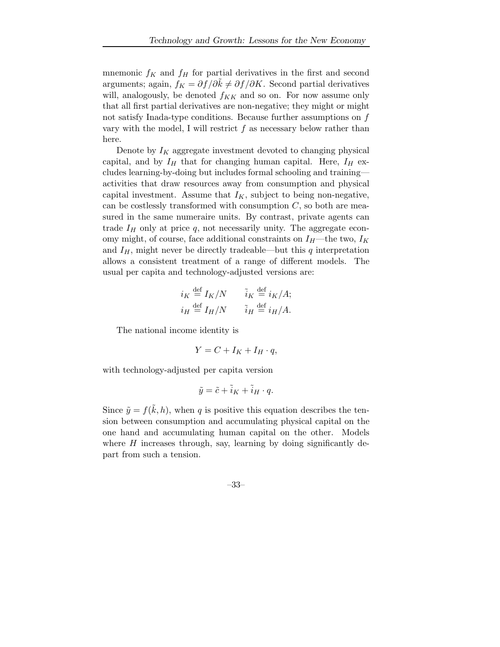mnemonic  $f_K$  and  $f_H$  for partial derivatives in the first and second arguments; again,  $f_K = \partial f / \partial \tilde{k} \neq \partial f / \partial K$ . Second partial derivatives will, analogously, be denoted  $f_{KK}$  and so on. For now assume only that all first partial derivatives are non-negative; they might or might not satisfy Inada-type conditions. Because further assumptions on f vary with the model, I will restrict  $f$  as necessary below rather than here.

Denote by  $I_K$  aggregate investment devoted to changing physical capital, and by  $I_H$  that for changing human capital. Here,  $I_H$  excludes learning-by-doing but includes formal schooling and training activities that draw resources away from consumption and physical capital investment. Assume that  $I_K$ , subject to being non-negative, can be costlessly transformed with consumption  $C$ , so both are measured in the same numeraire units. By contrast, private agents can trade  $I_H$  only at price q, not necessarily unity. The aggregate economy might, of course, face additional constraints on  $I_H$ —the two,  $I_K$ and  $I_H$ , might never be directly tradeable—but this q interpretation allows a consistent treatment of a range of different models. The usual per capita and technology-adjusted versions are:

$$
i_K \stackrel{\text{def}}{=} I_K/N
$$
  $\tilde{i}_K \stackrel{\text{def}}{=} i_K/A;$   
 $i_H \stackrel{\text{def}}{=} I_H/N$   $\tilde{i}_H \stackrel{\text{def}}{=} i_H/A.$ 

The national income identity is

$$
Y = C + I_K + I_H \cdot q,
$$

with technology-adjusted per capita version

$$
\tilde{y} = \tilde{c} + \tilde{i}_K + \tilde{i}_H \cdot q.
$$

Since  $\tilde{y} = f(\tilde{k}, h)$ , when q is positive this equation describes the tension between consumption and accumulating physical capital on the one hand and accumulating human capital on the other. Models where  $H$  increases through, say, learning by doing significantly depart from such a tension.

$$
^{-33-}
$$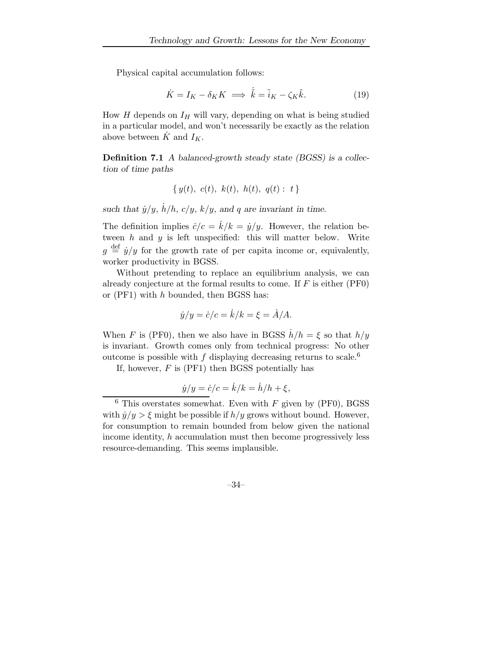Physical capital accumulation follows:

$$
\dot{K} = I_K - \delta_K K \implies \dot{\tilde{k}} = \tilde{i}_K - \zeta_K \tilde{k}.
$$
 (19)

How  $H$  depends on  $I_H$  will vary, depending on what is being studied in a particular model, and won't necessarily be exactly as the relation above between  $K$  and  $I_K$ .

**Definition 7.1** *A balanced-growth steady state (BGSS) is a collection of time paths*

$$
\{y(t),\ c(t),\ k(t),\ h(t),\ q(t):\ t\}
$$

such that  $\dot{y}/y$ ,  $\dot{h}/h$ ,  $c/y$ ,  $k/y$ , and q are invariant in time.

The definition implies  $\dot{c}/c = \dot{k}/k = \dot{y}/y$ . However, the relation between  $h$  and  $y$  is left unspecified: this will matter below. Write  $g \stackrel{\text{def}}{=} \dot{y}/y$  for the growth rate of per capita income or, equivalently, worker productivity in BGSS.

Without pretending to replace an equilibrium analysis, we can already conjecture at the formal results to come. If  $F$  is either (PF0) or (PF1) with h bounded, then BGSS has:

$$
\dot{y}/y = \dot{c}/c = \dot{k}/k = \xi = \dot{A}/A.
$$

When F is (PF0), then we also have in BGSS  $\dot{h}/h = \xi$  so that  $h/y$ is invariant. Growth comes only from technical progress: No other outcome is possible with f displaying decreasing returns to scale.<sup>6</sup>

If, however,  $F$  is (PF1) then BGSS potentially has

$$
\dot{y}/y = \dot{c}/c = \dot{k}/k = \dot{h}/h + \xi,
$$

–34–

 $6$  This overstates somewhat. Even with  $F$  given by (PF0), BGSS with  $\dot{y}/y > \xi$  might be possible if  $h/y$  grows without bound. However, for consumption to remain bounded from below given the national income identity, h accumulation must then become progressively less resource-demanding. This seems implausible.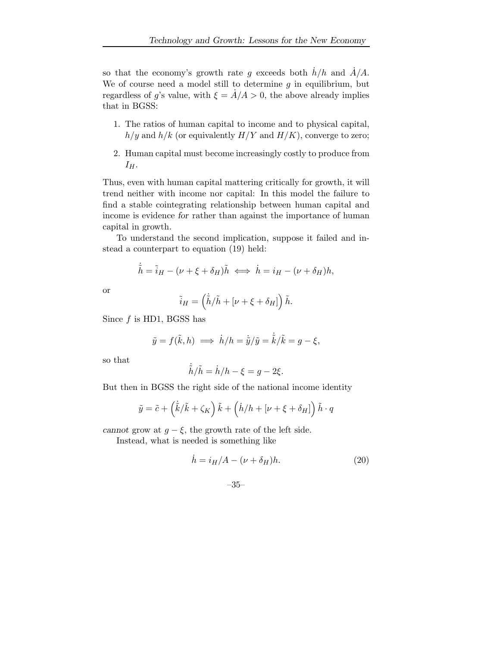so that the economy's growth rate g exceeds both  $\dot{h}/h$  and  $\dot{A}/A$ . We of course need a model still to determine  $g$  in equilibrium, but regardless of g's value, with  $\xi = \dot{A}/A > 0$ , the above already implies that in BGSS:

- 1. The ratios of human capital to income and to physical capital,  $h/y$  and  $h/k$  (or equivalently  $H/Y$  and  $H/K$ ), converge to zero;
- 2. Human capital must become increasingly costly to produce from  $I_H$ .

Thus, even with human capital mattering critically for growth, it will trend neither with income nor capital: In this model the failure to find a stable cointegrating relationship between human capital and income is evidence *for* rather than against the importance of human capital in growth.

To understand the second implication, suppose it failed and instead a counterpart to equation (19) held:

$$
\dot{\tilde{h}} = \tilde{i}_H - (\nu + \xi + \delta_H)\tilde{h} \iff \dot{h} = i_H - (\nu + \delta_H)h,
$$

or

$$
\tilde{i}_H = \left(\dot{\tilde{h}}/\tilde{h} + \left[\nu + \xi + \delta_H\right]\right)\tilde{h}.
$$

Since  $f$  is HD1, BGSS has

$$
\tilde{y} = f(\tilde{k}, h) \implies \dot{h}/h = \dot{\tilde{y}}/\tilde{y} = \dot{\tilde{k}}/\tilde{k} = g - \xi,
$$

so that

$$
\tilde{h}/\tilde{h}=\dot{h}/h-\xi=g-2\xi.
$$

But then in BGSS the right side of the national income identity

$$
\tilde{y} = \tilde{c} + \left(\dot{\tilde{k}}/\tilde{k} + \zeta_K\right)\tilde{k} + \left(\dot{h}/h + \left[\nu + \xi + \delta_H\right]\right)\tilde{h} \cdot q
$$

*cannot* grow at  $g - \xi$ , the growth rate of the left side.

Instead, what is needed is something like

$$
\dot{h} = i_H/A - (\nu + \delta_H)h. \tag{20}
$$

$$
^{-35-}
$$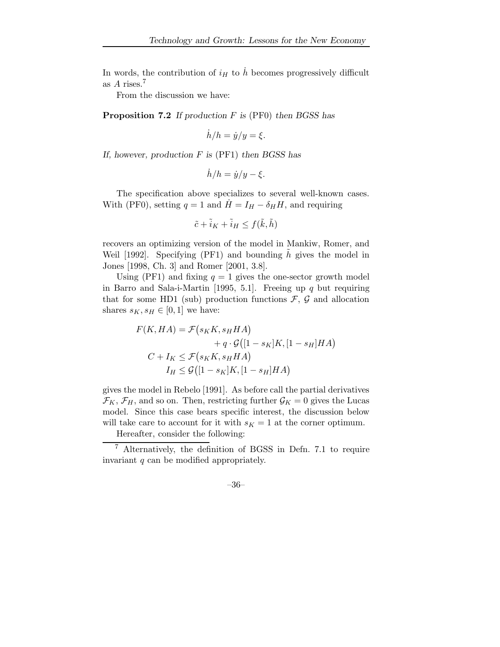In words, the contribution of  $i_H$  to he becomes progressively difficult as  $A$  rises.<sup>7</sup>

From the discussion we have:

**Proposition 7.2** *If production* F *is* (PF0) *then BGSS has*

$$
\dot{h}/h = \dot{y}/y = \xi.
$$

*If, however, production* F *is* (PF1) *then BGSS has*

$$
\dot{h}/h = \dot{y}/y - \xi.
$$

The specification above specializes to several well-known cases. With (PF0), setting  $q = 1$  and  $H = I_H - \delta_H H$ , and requiring

$$
\tilde{c} + \tilde{i}_K + \tilde{i}_H \le f(\tilde{k}, \tilde{h})
$$

recovers an optimizing version of the model in Mankiw, Romer, and Weil  $[1992]$ . Specifying (PF1) and bounding h gives the model in Jones [1998, Ch. 3] and Romer [2001, 3.8].

Using (PF1) and fixing  $q = 1$  gives the one-sector growth model in Barro and Sala-i-Martin [1995, 5.1]. Freeing up  $q$  but requiring that for some HD1 (sub) production functions  $\mathcal{F}, \mathcal{G}$  and allocation shares  $s_K, s_H \in [0, 1]$  we have:

$$
F(K, HA) = \mathcal{F}(s_K K, s_H H A)
$$
  
+  $q \cdot \mathcal{G}([1 - s_K]K, [1 - s_H]HA)$   

$$
C + I_K \le \mathcal{F}(s_K K, s_H H A)
$$
  

$$
I_H \le \mathcal{G}([1 - s_K]K, [1 - s_H]HA)
$$

gives the model in Rebelo [1991]. As before call the partial derivatives  $\mathcal{F}_K$ ,  $\mathcal{F}_H$ , and so on. Then, restricting further  $\mathcal{G}_K = 0$  gives the Lucas model. Since this case bears specific interest, the discussion below will take care to account for it with  $s_K = 1$  at the corner optimum.

Hereafter, consider the following:

<sup>7</sup> Alternatively, the definition of BGSS in Defn. 7.1 to require invariant  $q$  can be modified appropriately.

–36–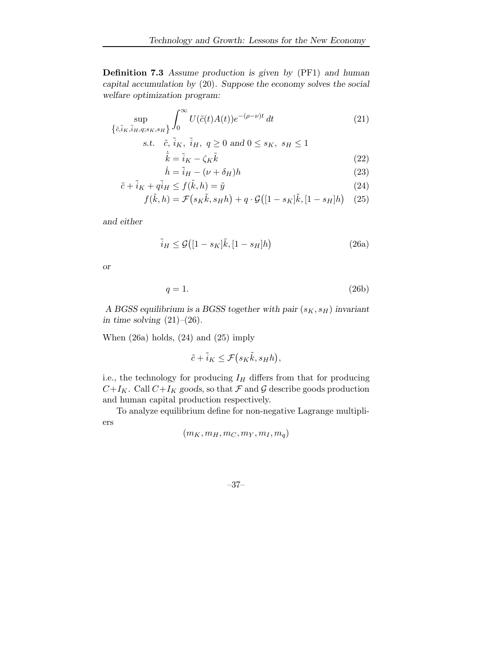**Definition 7.3** *Assume production is given by* (PF1) *and human capital accumulation by* (20)*. Suppose the economy solves the social welfare optimization program:*

$$
\sup_{\{\tilde{c}, \tilde{i}_K, \tilde{i}_H, q; s_K, s_H\}} \int_0^\infty U(\tilde{c}(t)A(t))e^{-(\rho-\nu)t} dt \tag{21}
$$

s.t. 
$$
\tilde{c}, \tilde{i}_K, \tilde{i}_H, q \ge 0
$$
 and  $0 \le s_K, s_H \le 1$   
\n
$$
\dot{\tilde{k}} = \tilde{i}_K - \zeta_K \tilde{k}
$$
\n(22)

$$
\dot{h} = \tilde{i}_H - (\nu + \delta_H)h\tag{23}
$$

$$
\tilde{c} + \tilde{i}_K + q\tilde{i}_H \le f(\tilde{k}, h) = \tilde{y}
$$
\n
$$
f(\tilde{k}, h) = \mathcal{F}(s_K\tilde{k}, s_Hh) + q \cdot \mathcal{G}([1 - s_K]\tilde{k}, [1 - s_H]h)
$$
\n(25)

*and either*

$$
\tilde{i}_H \le \mathcal{G}([1 - s_K]\tilde{k}, [1 - s_H]h)
$$
\n(26a)

*or*

$$
q = 1.\t\t(26b)
$$

*A BGSS equilibrium is a BGSS together with pair*  $(s_K, s_H)$  *invariant in time solving* (21)*–*(26)*.*

When (26a) holds, (24) and (25) imply

$$
\tilde{c} + \tilde{i}_K \le \mathcal{F}\big(s_K \tilde{k}, s_H h\big),
$$

i.e., the technology for producing  $I_H$  differs from that for producing  $C+I_K$ . Call  $C+I_K$  goods, so that  $\mathcal F$  and  $\mathcal G$  describe goods production and human capital production respectively.

To analyze equilibrium define for non-negative Lagrange multipliers

$$
(m_K, m_H, m_C, m_Y, m_I, m_q)
$$

–37–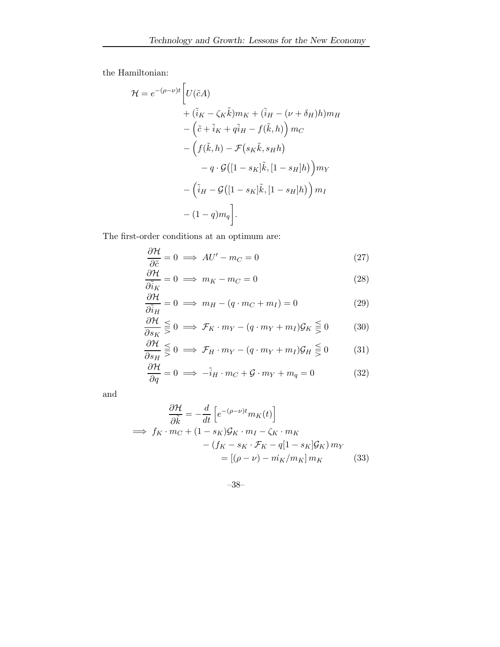the Hamiltonian:

$$
\mathcal{H} = e^{-(\rho - \nu)t} \left[ U(\tilde{c}A) \right.
$$
  
+  $(\tilde{i}_K - \zeta_K \tilde{k})m_K + (\tilde{i}_H - (\nu + \delta_H)h)m_H$   
-  $(\tilde{c} + \tilde{i}_K + q\tilde{i}_H - f(\tilde{k}, h)) m_C$   
-  $(f(\tilde{k}, h) - \mathcal{F}(s_K \tilde{k}, s_H h))$   
-  $q \cdot \mathcal{G}([1 - s_K]\tilde{k}, [1 - s_H]h)) m_Y$   
-  $(\tilde{i}_H - \mathcal{G}([1 - s_K]\tilde{k}, [1 - s_H]h)) m_I$   
-  $(1 - q)m_q$ .

The first-order conditions at an optimum are:

$$
\frac{\partial \mathcal{H}}{\partial \tilde{c}} = 0 \implies AU' - m_C = 0 \tag{27}
$$

$$
\frac{\partial \mathcal{H}}{\partial \tilde{i}_K} = 0 \implies m_K - m_C = 0 \tag{28}
$$

$$
\frac{\partial \mathcal{H}}{\partial \tilde{i}_H} = 0 \implies m_H - (q \cdot m_C + m_I) = 0 \tag{29}
$$
\n
$$
\frac{\partial \mathcal{H}}{\partial t} < 0 \implies \mathcal{F} = (q \cdot m_C + m_I) \times 0 \tag{20}
$$

$$
\frac{\partial \mathcal{H}}{\partial s_K} \leq 0 \implies \mathcal{F}_K \cdot m_Y - (q \cdot m_Y + m_I) \mathcal{G}_K \leq 0 \tag{30}
$$
\n
$$
\frac{\partial \mathcal{H}}{\partial t} < 0 \implies \mathcal{F}_K \cdot m_Y - (q \cdot m_Y + m_I) \mathcal{G}_K \leq 0 \tag{31}
$$

$$
\frac{\partial \mathcal{H}}{\partial s_H} \leq 0 \implies \mathcal{F}_H \cdot m_Y - (q \cdot m_Y + m_I) \mathcal{G}_H \leq 0 \tag{31}
$$

$$
\frac{\partial \mathcal{H}}{\partial q} = 0 \implies -\tilde{i}_H \cdot m_C + \mathcal{G} \cdot m_Y + m_q = 0 \tag{32}
$$

and

$$
\frac{\partial \mathcal{H}}{\partial \tilde{k}} = -\frac{d}{dt} \left[ e^{-(\rho - \nu)t} m_K(t) \right]
$$
\n
$$
\implies f_K \cdot m_C + (1 - s_K) \mathcal{G}_K \cdot m_I - \zeta_K \cdot m_K
$$
\n
$$
- (f_K - s_K \cdot \mathcal{F}_K - q[1 - s_K] \mathcal{G}_K) m_Y
$$
\n
$$
= [(\rho - \nu) - m_K/m_K] m_K \tag{33}
$$

$$
-38-
$$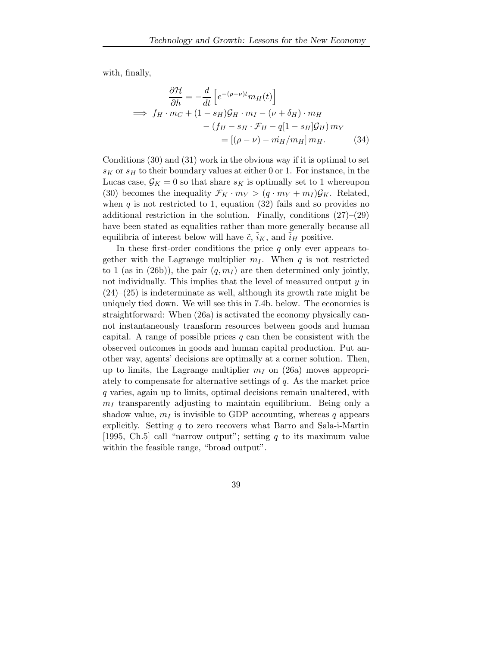with, finally,

$$
\frac{\partial \mathcal{H}}{\partial h} = -\frac{d}{dt} \left[ e^{-(\rho - \nu)t} m_H(t) \right]
$$
\n
$$
\implies f_H \cdot m_C + (1 - s_H) \mathcal{G}_H \cdot m_I - (\nu + \delta_H) \cdot m_H
$$
\n
$$
- (f_H - s_H \cdot \mathcal{F}_H - q[1 - s_H] \mathcal{G}_H) m_Y
$$
\n
$$
= [(\rho - \nu) - m_H / m_H] m_H. \tag{34}
$$

Conditions (30) and (31) work in the obvious way if it is optimal to set  $s_K$  or  $s_H$  to their boundary values at either 0 or 1. For instance, in the Lucas case,  $\mathcal{G}_K = 0$  so that share  $s_K$  is optimally set to 1 whereupon (30) becomes the inequality  $\mathcal{F}_K \cdot m_Y > (q \cdot m_Y + m_I) \mathcal{G}_K$ . Related, when q is not restricted to 1, equation (32) fails and so provides no additional restriction in the solution. Finally, conditions  $(27)$ – $(29)$ have been stated as equalities rather than more generally because all equilibria of interest below will have  $\tilde{c}$ ,  $i_K$ , and  $i_H$  positive.

In these first-order conditions the price  $q$  only ever appears together with the Lagrange multiplier  $m_I$ . When q is not restricted to 1 (as in (26b)), the pair  $(q, m<sub>I</sub>)$  are then determined only jointly, not individually. This implies that the level of measured output  $y$  in  $(24)$ – $(25)$  is indeterminate as well, although its growth rate might be uniquely tied down. We will see this in 7.4b. below. The economics is straightforward: When (26a) is activated the economy physically cannot instantaneously transform resources between goods and human capital. A range of possible prices  $q$  can then be consistent with the observed outcomes in goods and human capital production. Put another way, agents' decisions are optimally at a corner solution. Then, up to limits, the Lagrange multiplier  $m<sub>I</sub>$  on (26a) moves appropriately to compensate for alternative settings of  $q$ . As the market price q varies, again up to limits, optimal decisions remain unaltered, with  $m<sub>I</sub>$  transparently adjusting to maintain equilibrium. Being only a shadow value,  $m<sub>I</sub>$  is invisible to GDP accounting, whereas q appears explicitly. Setting  $q$  to zero recovers what Barro and Sala-i-Martin [1995, Ch.5] call "narrow output"; setting  $q$  to its maximum value within the feasible range, "broad output".

–39–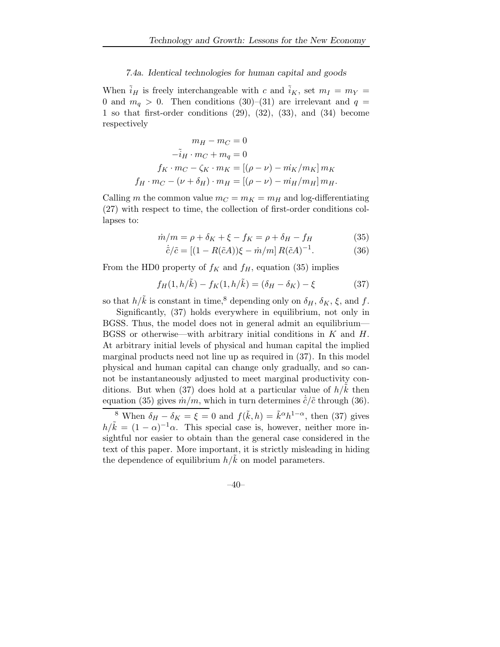*7.4a. Identical technologies for human capital and goods*

When  $\tilde{i}_H$  is freely interchangeable with c and  $\tilde{i}_K$ , set  $m_I = m_Y =$ 0 and  $m_q > 0$ . Then conditions (30)–(31) are irrelevant and  $q =$ 1 so that first-order conditions (29), (32), (33), and (34) become respectively

$$
m_H - m_C = 0
$$
  

$$
-\tilde{i}_H \cdot m_C + m_q = 0
$$
  

$$
f_K \cdot m_C - \zeta_K \cdot m_K = [(\rho - \nu) - m_K/m_K] m_K
$$
  

$$
f_H \cdot m_C - (\nu + \delta_H) \cdot m_H = [(\rho - \nu) - m_H/m_H] m_H.
$$

Calling m the common value  $m<sub>C</sub> = m<sub>K</sub> = m<sub>H</sub>$  and log-differentiating (27) with respect to time, the collection of first-order conditions collapses to:

$$
\dot{m}/m = \rho + \delta_K + \xi - f_K = \rho + \delta_H - f_H \tag{35}
$$

$$
\dot{\tilde{c}}/\tilde{c} = \left[ (1 - R(\tilde{c}A))\xi - \dot{m}/m \right] R(\tilde{c}A)^{-1}.
$$
 (36)

From the HD0 property of  $f_K$  and  $f_H$ , equation (35) implies

$$
f_H(1, h/\tilde{k}) - f_K(1, h/\tilde{k}) = (\delta_H - \delta_K) - \xi
$$
 (37)

so that  $h/\tilde{k}$  is constant in time,<sup>8</sup> depending only on  $\delta_H$ ,  $\delta_K$ ,  $\xi$ , and f.<br>Significantly, (27) holds examinent in equilibrium, not only in

Significantly, (37) holds everywhere in equilibrium, not only in BGSS. Thus, the model does not in general admit an equilibrium— BGSS or otherwise—with arbitrary initial conditions in  $K$  and  $H$ . At arbitrary initial levels of physical and human capital the implied marginal products need not line up as required in (37). In this model physical and human capital can change only gradually, and so cannot be instantaneously adjusted to meet marginal productivity conditions. But when (37) does hold at a particular value of  $h/\tilde{k}$  then equation (35) gives  $\dot{m}/m$ , which in turn determines  $\dot{\tilde{c}}/\tilde{c}$  through (36).

–40–

<sup>&</sup>lt;sup>8</sup> When  $\delta_H - \delta_K = \xi = 0$  and  $f(\tilde{k}, h) = \tilde{k}^{\alpha} h^{1-\alpha}$ , then (37) gives  $h/\tilde{k} = (1 - \alpha)^{-1} \alpha$ . This special case is, however, neither more insightful nor easier to obtain than the general case considered in the text of this paper. More important, it is strictly misleading in hiding the dependence of equilibrium  $h/\tilde{k}$  on model parameters.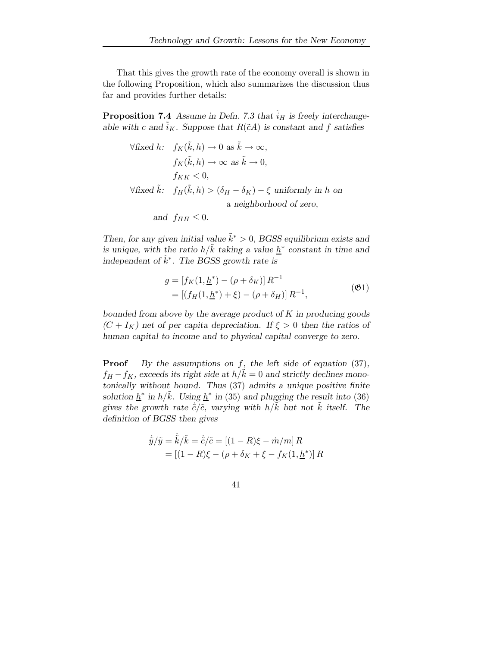That this gives the growth rate of the economy overall is shown in the following Proposition, which also summarizes the discussion thus far and provides further details:

**Proposition 7.4** *Assume in Defn. 7.3 that*  $i_H$  *is freely interchangeable with* c and  $\tilde{i}_K$ . Suppose that  $R(\tilde{c}A)$  is constant and f satisfies

$$
\forall \text{fixed } h: \quad f_K(\tilde{k}, h) \to 0 \text{ as } \tilde{k} \to \infty,
$$
\n
$$
f_K(\tilde{k}, h) \to \infty \text{ as } \tilde{k} \to 0,
$$
\n
$$
f_{KK} < 0,
$$
\n
$$
\forall \text{fixed } \tilde{k}: \quad f_H(\tilde{k}, h) > (\delta_H - \delta_K) - \xi \text{ uniformly in } h \text{ on a neighborhood of zero},
$$

and  $f_{HH} \leq 0$ .

*Then, for any given initial value*  $\tilde{k}^* > 0$ , *BGSS equilibrium exists and is unique, with the ratio*  $h/\tilde{k}$  *taking a value*  $h^*$  *constant in time and independent of*  $\tilde{k}^*$ *. The BGSS growth rate is* 

$$
g = [f_K(1, \underline{h}^*) - (\rho + \delta_K)] R^{-1}
$$
  
= [(f\_H(1, \underline{h}^\*) + \xi) - (\rho + \delta\_H)] R^{-1}, (61)

*bounded from above by the average product of* K *in producing goods*  $(C + I_K)$  net of per capita depreciation. If  $\xi > 0$  then the ratios of *human capital to income and to physical capital converge to zero.*

**Proof** *By the assumptions on* f*, the left side of equation* (37)*,*  $f_H - f_K$ , exceeds its right side at  $h/\tilde{k} = 0$  and strictly declines mono-<br>
topically without hound. Thus (27) admits a unique positive finite *tonically without bound. Thus* (37) *admits a unique positive finite solution*  $h^*$  *in*  $h/\tilde{k}$ *. Using*  $h^*$  *in* (35) *and plugging the result into* (36) gives the growth rate  $\dot{\tilde{c}}/\tilde{c}$ , varying with  $h/\tilde{k}$  but not  $\tilde{k}$  itself. The *definition of BGSS then gives*

$$
\dot{\tilde{y}}/\tilde{y} = \dot{\tilde{k}}/\tilde{k} = \dot{\tilde{c}}/\tilde{c} = [(1 - R)\xi - \dot{m}/m] R \n= [(1 - R)\xi - (\rho + \delta_K + \xi - f_K(1, \underline{h}^*)] R
$$

$$
-41-
$$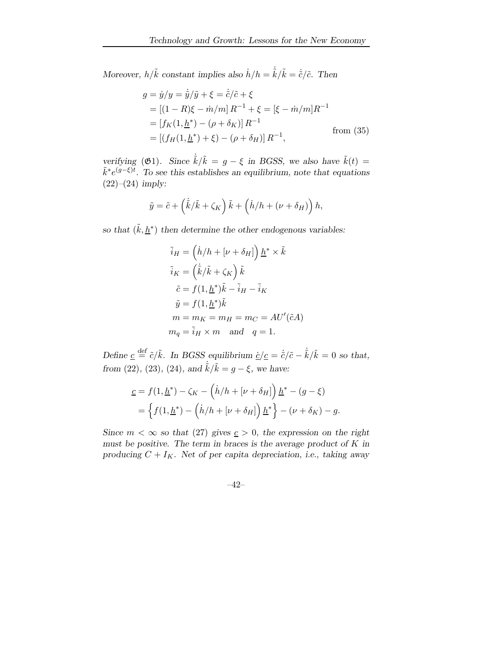*Moreover,*  $h/\tilde{k}$  *constant implies also*  $\dot{h}/h = \dot{\tilde{k}}/\tilde{k} = \dot{\tilde{c}}/\tilde{c}$ *. Then* 

$$
g = \dot{y}/y = \dot{\tilde{y}}/\tilde{y} + \xi = \dot{\tilde{c}}/\tilde{c} + \xi
$$
  
= [(1 - R)\xi - \dot{m}/m] R<sup>-1</sup> + \xi = [\xi - \dot{m}/m]R<sup>-1</sup>  
= [f<sub>K</sub>(1, h<sup>\*</sup>) - (\rho + \delta<sub>K</sub>)] R<sup>-1</sup>  
= [(f<sub>H</sub>(1, h<sup>\*</sup>) + \xi) - (\rho + \delta<sub>H</sub>)] R<sup>-1</sup>, from (35)

*verifying* ( $\mathfrak{G}1$ ). Since  $\dot{\tilde{k}}/\tilde{k} = g - \xi$  in BGSS, we also have  $\tilde{k}(t) = \tilde{k}^* e^{(g-\xi)t}$ . To see this establishes an equilibrium, note that equations (22)*–*(24) *imply:*

$$
\tilde{y} = \tilde{c} + \left(\dot{\tilde{k}}/\tilde{k} + \zeta_K\right)\tilde{k} + \left(\dot{h}/h + \left(\nu + \delta_H\right)\right)h,
$$

so that  $(\tilde{k}, \underline{h}^*)$  then determine the other endogenous variables:

$$
\tilde{i}_H = (\dot{h}/h + [\nu + \delta_H]) \underline{h}^* \times \tilde{k}
$$
  
\n
$$
\tilde{i}_K = (\dot{\tilde{k}}/\tilde{k} + \zeta_K) \tilde{k}
$$
  
\n
$$
\tilde{c} = f(1, \underline{h}^*)\tilde{k} - \tilde{i}_H - \tilde{i}_K
$$
  
\n
$$
\tilde{y} = f(1, \underline{h}^*)\tilde{k}
$$
  
\n
$$
m = m_K = m_H = m_C = AU'(\tilde{c}A)
$$
  
\n
$$
m_q = \tilde{i}_H \times m \text{ and } q = 1.
$$

*Define*  $\underline{c} \stackrel{\text{def}}{=} \tilde{c}/\tilde{k}$ . In BGSS equilibrium  $\underline{\dot{c}}/\underline{c} = \dot{\tilde{c}}/\tilde{c} - \dot{\tilde{k}}/\tilde{k} = 0$  so that, *from* (22), (23), (24)*,* and  $\dot{\tilde{k}}/\tilde{k} = g - \xi$ *, we have:* 

$$
\underline{c} = f(1, \underline{h}^*) - \zeta_K - \left(\dot{h}/h + [\nu + \delta_H]\right) \underline{h}^* - (g - \xi)
$$

$$
= \left\{f(1, \underline{h}^*) - \left(\dot{h}/h + [\nu + \delta_H]\right) \underline{h}^*\right\} - (\nu + \delta_K) - g.
$$

*Since*  $m < \infty$  *so that* (27) *gives*  $c > 0$ *, the expression on the right must be positive. The term in braces is the average product of* K *in* producing  $C + I_K$ . Net of per capita depreciation, i.e., taking away

–42–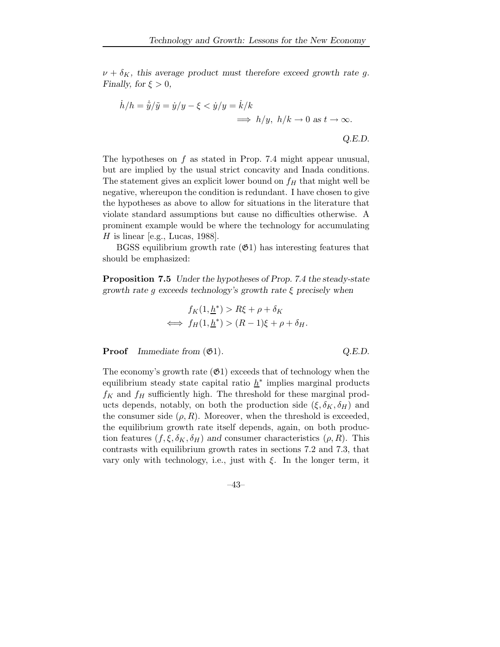$\nu + \delta_K$ , this average product must therefore exceed growth rate g. *Finally, for*  $\xi > 0$ *,* 

$$
\dot{h}/h = \dot{\tilde{y}}/\tilde{y} = \dot{y}/y - \xi < \dot{y}/y = \dot{k}/k
$$
\n
$$
\implies h/y, \ h/k \to 0 \text{ as } t \to \infty.
$$
\nQ.E.D.

The hypotheses on f as stated in Prop. 7.4 might appear unusual, but are implied by the usual strict concavity and Inada conditions. The statement gives an explicit lower bound on  $f_H$  that might well be negative, whereupon the condition is redundant. I have chosen to give the hypotheses as above to allow for situations in the literature that violate standard assumptions but cause no difficulties otherwise. A prominent example would be where the technology for accumulating H is linear [e.g., Lucas, 1988].

BGSS equilibrium growth rate  $(61)$  has interesting features that should be emphasized:

**Proposition 7.5** *Under the hypotheses of Prop. 7.4 the steady-state growth rate* g *exceeds technology's growth rate* ξ *precisely when*

$$
f_K(1, \underline{h}^*) > R\xi + \rho + \delta_K
$$
  

$$
\iff f_H(1, \underline{h}^*) > (R - 1)\xi + \rho + \delta_H.
$$

**Proof** *Immediate from* ( $\mathfrak{G}1$ ).  $Q.E.D.$ 

The economy's growth rate  $(61)$  exceeds that of technology when the equilibrium steady state capital ratio  $h^*$  implies marginal products  $f_K$  and  $f_H$  sufficiently high. The threshold for these marginal products depends, notably, on both the production side  $(\xi, \delta_K, \delta_H)$  and the consumer side  $(\rho, R)$ . Moreover, when the threshold is exceeded, the equilibrium growth rate itself depends, again, on both production features  $(f, \xi, \delta_K, \delta_H)$  and consumer characteristics  $(\rho, R)$ . This contrasts with equilibrium growth rates in sections 7.2 and 7.3, that vary only with technology, i.e., just with  $\xi$ . In the longer term, it

$$
^{-43-}
$$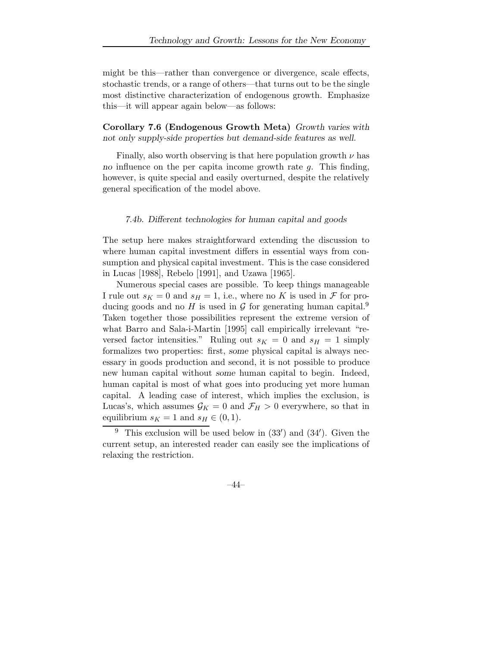might be this—rather than convergence or divergence, scale effects, stochastic trends, or a range of others—that turns out to be the single most distinctive characterization of endogenous growth. Emphasize this—it will appear again below—as follows:

**Corollary 7.6 (Endogenous Growth Meta)** *Growth varies with not only supply-side properties but demand-side features as well.*

Finally, also worth observing is that here population growth  $\nu$  has *no* influence on the per capita income growth rate g. This finding, however, is quite special and easily overturned, despite the relatively general specification of the model above.

#### *7.4b. Different technologies for human capital and goods*

The setup here makes straightforward extending the discussion to where human capital investment differs in essential ways from consumption and physical capital investment. This is the case considered in Lucas [1988], Rebelo [1991], and Uzawa [1965].

Numerous special cases are possible. To keep things manageable I rule out  $s_K = 0$  and  $s_H = 1$ , i.e., where no K is used in F for producing goods and no H is used in  $\mathcal G$  for generating human capital.<sup>9</sup> Taken together those possibilities represent the extreme version of what Barro and Sala-i-Martin [1995] call empirically irrelevant "reversed factor intensities." Ruling out  $s_K = 0$  and  $s_H = 1$  simply formalizes two properties: first, *some* physical capital is always necessary in goods production and second, it is not possible to produce new human capital without *some* human capital to begin. Indeed, human capital is most of what goes into producing yet more human capital. A leading case of interest, which implies the exclusion, is Lucas's, which assumes  $\mathcal{G}_K = 0$  and  $\mathcal{F}_H > 0$  everywhere, so that in equilibrium  $s_K = 1$  and  $s_H \in (0, 1)$ .<br><sup>9</sup> This exclusion will be used be

<sup>&</sup>lt;sup>9</sup> This exclusion will be used below in  $(33')$  and  $(34')$ . Given the current setup, an interested reader can easily see the implications of relaxing the restriction.

<sup>–44–</sup>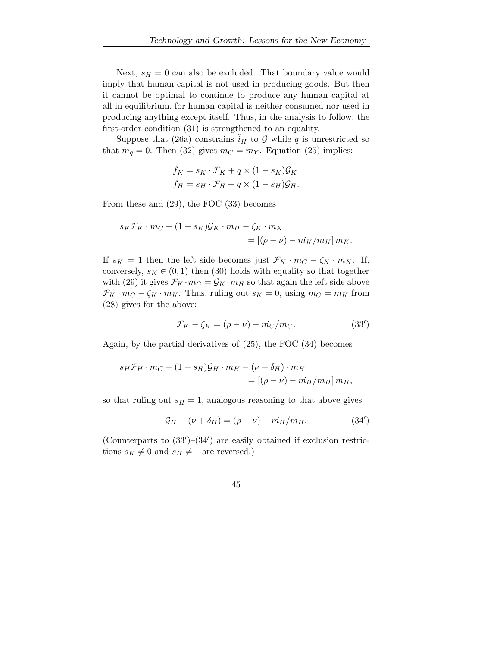Next,  $s_H = 0$  can also be excluded. That boundary value would imply that human capital is not used in producing goods. But then it cannot be optimal to continue to produce any human capital at all in equilibrium, for human capital is neither consumed nor used in producing anything except itself. Thus, in the analysis to follow, the first-order condition (31) is strengthened to an equality.

Suppose that (26a) constrains  $\tilde{i}_H$  to G while q is unrestricted so that  $m_q = 0$ . Then (32) gives  $m_C = m_Y$ . Equation (25) implies:

$$
f_K = s_K \cdot \mathcal{F}_K + q \times (1 - s_K) \mathcal{G}_K
$$
  
\n
$$
f_H = s_H \cdot \mathcal{F}_H + q \times (1 - s_H) \mathcal{G}_H.
$$

From these and (29), the FOC (33) becomes

$$
s_K \mathcal{F}_K \cdot m_C + (1 - s_K) \mathcal{G}_K \cdot m_H - \zeta_K \cdot m_K
$$
  
= 
$$
[(\rho - \nu) - m_K/m_K] m_K.
$$

If  $s_K = 1$  then the left side becomes just  $\mathcal{F}_K \cdot m_C - \zeta_K \cdot m_K$ . If, conversely,  $s_K \in (0, 1)$  then (30) holds with equality so that together with (29) it gives  $\mathcal{F}_K \cdot m_C = \mathcal{G}_K \cdot m_H$  so that again the left side above  $\mathcal{F}_K \cdot m_C - \zeta_K \cdot m_K$ . Thus, ruling out  $s_K = 0$ , using  $m_C = m_K$  from (28) gives for the above:

$$
\mathcal{F}_K - \zeta_K = (\rho - \nu) - \dot{m}_C / m_C. \tag{33'}
$$

Again, by the partial derivatives of (25), the FOC (34) becomes

$$
s_H \mathcal{F}_H \cdot m_C + (1 - s_H) \mathcal{G}_H \cdot m_H - (\nu + \delta_H) \cdot m_H
$$
  
= 
$$
[(\rho - \nu) - m_H/m_H] m_H,
$$

so that ruling out  $s_H = 1$ , analogous reasoning to that above gives

$$
\mathcal{G}_H - (\nu + \delta_H) = (\rho - \nu) - \dot{m}_H / m_H. \tag{34'}
$$

(Counterparts to  $(33')$ – $(34')$  are easily obtained if exclusion restrictions  $s_K \neq 0$  and  $s_H \neq 1$  are reversed.)

–45–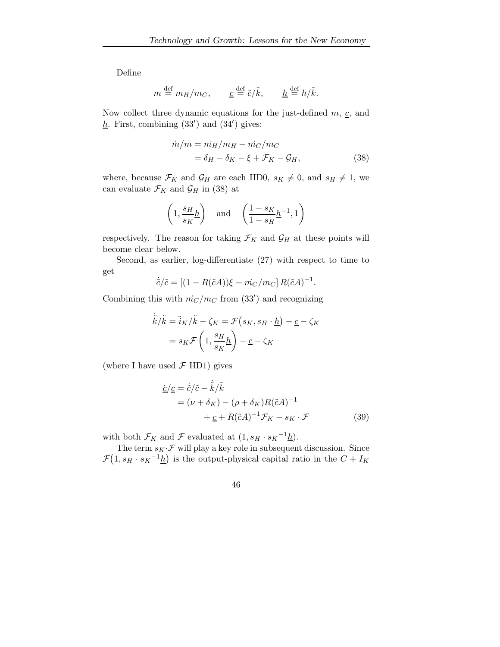Define

$$
m\stackrel{\text{def}}{=} m_H/m_C,\qquad \underline{c}\stackrel{\text{def}}{=} \tilde{c}/\tilde{k},\qquad \underline{h}\stackrel{\text{def}}{=} h/\tilde{k}.
$$

Now collect three dynamic equations for the just-defined  $m, c$ , and  $h$ . First, combining  $(33')$  and  $(34')$  gives:

$$
\dot{m}/m = \dot{m}_H/m_H - \dot{m}_C/m_C
$$
  
=  $\delta_H - \delta_K - \xi + \mathcal{F}_K - \mathcal{G}_H,$  (38)

where, because  $\mathcal{F}_K$  and  $\mathcal{G}_H$  are each HD0,  $s_K \neq 0$ , and  $s_H \neq 1$ , we can evaluate  $\mathcal{F}_K$  and  $\mathcal{G}_H$  in (38) at

$$
\left(1, \frac{s_H}{s_K} \frac{h}{m}\right)
$$
 and  $\left(\frac{1 - s_K}{1 - s_H} \frac{h}{m-1}, 1\right)$ 

respectively. The reason for taking  $\mathcal{F}_K$  and  $\mathcal{G}_H$  at these points will become clear below.

Second, as earlier, log-differentiate (27) with respect to time to get

$$
\dot{\tilde{c}}/\tilde{c} = [(1 - R(\tilde{c}A))\xi - \dot{m}_C/m_C] R(\tilde{c}A)^{-1}.
$$

Combining this with  $\dot{m}_C/m_C$  from (33') and recognizing

$$
\dot{\tilde{k}}/\tilde{k} = \tilde{i}_K/\tilde{k} - \zeta_K = \mathcal{F}(s_K, s_H \cdot \underline{h}) - \underline{c} - \zeta_K
$$

$$
= s_K \mathcal{F}\left(1, \frac{s_H}{s_K} \underline{h}\right) - \underline{c} - \zeta_K
$$

(where I have used  $\mathcal F$  HD1) gives

$$
\begin{aligned}\n\dot{\underline{c}}/c &= \dot{\tilde{c}}/\tilde{c} - \dot{\tilde{k}}/\tilde{k} \\
&= (\nu + \delta_K) - (\rho + \delta_K)R(\tilde{c}A)^{-1} \\
&\quad + \underline{c} + R(\tilde{c}A)^{-1}\mathcal{F}_K - s_K \cdot \mathcal{F}\n\end{aligned} \tag{39}
$$

with both  $\mathcal{F}_K$  and  $\mathcal F$  evaluated at  $(1, s_H \cdot s_K^{-1} \underline{h}).$ 

The term  $s_K\mathcal{F}$  will play a key role in subsequent discussion. Since  $\mathcal{F}(1, s_H \cdot s_K^{-1} \underline{h})$  is the output-physical capital ratio in the  $C + I_K$ 

$$
^{-46-}
$$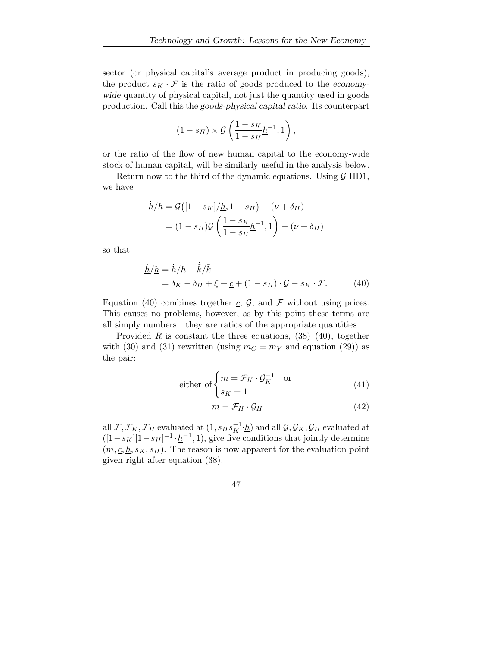sector (or physical capital's average product in producing goods), the product  $s_K \cdot \mathcal{F}$  is the ratio of goods produced to the *economywide* quantity of physical capital, not just the quantity used in goods production. Call this the *goods-physical capital ratio*. Its counterpart

$$
(1 - s_H) \times \mathcal{G}\left(\frac{1 - s_K}{1 - s_H} \underline{h}^{-1}, 1\right),
$$

or the ratio of the flow of new human capital to the economy-wide stock of human capital, will be similarly useful in the analysis below.

Return now to the third of the dynamic equations. Using  $\mathcal{G}$  HD1, we have

$$
\dot{h}/h = \mathcal{G}([1 - s_K]/\underline{h}, 1 - s_H) - (\nu + \delta_H)
$$

$$
= (1 - s_H)\mathcal{G}\left(\frac{1 - s_K}{1 - s_H}\underline{h}^{-1}, 1\right) - (\nu + \delta_H)
$$

so that

$$
\begin{aligned} \frac{\dot{h}}{h} &= \dot{h}/h - \dot{\tilde{k}}/\tilde{k} \\ &= \delta_K - \delta_H + \xi + \underline{c} + (1 - s_H) \cdot \mathcal{G} - s_K \cdot \mathcal{F}. \end{aligned} \tag{40}
$$

Equation (40) combines together  $c, \mathcal{G}$ , and  $\mathcal F$  without using prices. This causes no problems, however, as by this point these terms are all simply numbers—they are ratios of the appropriate quantities.

Provided R is constant the three equations,  $(38)$ – $(40)$ , together with (30) and (31) rewritten (using  $m<sub>C</sub> = m<sub>Y</sub>$  and equation (29)) as the pair:

either of 
$$
\begin{cases} m = \mathcal{F}_K \cdot \mathcal{G}_K^{-1} & \text{or} \\ s_K = 1 \end{cases}
$$
 (41)

$$
m = \mathcal{F}_H \cdot \mathcal{G}_H \tag{42}
$$

all  $\mathcal{F}, \mathcal{F}_K, \mathcal{F}_H$  evaluated at  $(1, s_H s_K^{-1} \cdot \underline{h})$  and all  $\mathcal{G}, \mathcal{G}_K, \mathcal{G}_H$  evaluated at  $(1 - s_K)[1 - s_H]^{-1} \cdot h^{-1}$  1) give five conditions that jointly determine  $([1-s_K] [1-s_H]^{-1} \cdot \underline{h}^{-1}, 1),$  give five conditions that jointly determine  $(m, \underline{c}, \underline{h}, s_K, s_H)$ . The reason is now apparent for the evaluation point given right after equation (38).

–47–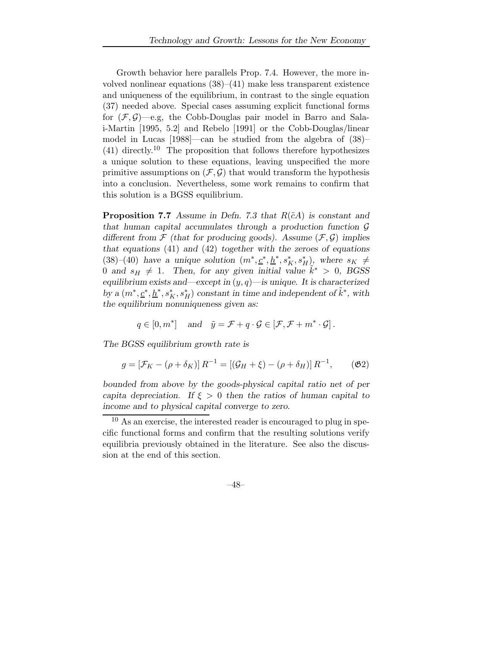Growth behavior here parallels Prop. 7.4. However, the more involved nonlinear equations  $(38)–(41)$  make less transparent existence and uniqueness of the equilibrium, in contrast to the single equation (37) needed above. Special cases assuming explicit functional forms for  $(\mathcal{F}, \mathcal{G})$ —e.g, the Cobb-Douglas pair model in Barro and Salai-Martin [1995, 5.2] and Rebelo [1991] or the Cobb-Douglas/linear model in Lucas [1988]—can be studied from the algebra of (38)–  $(41)$  directly.<sup>10</sup> The proposition that follows therefore hypothesizes a unique solution to these equations, leaving unspecified the more primitive assumptions on  $(\mathcal{F}, \mathcal{G})$  that would transform the hypothesis into a conclusion. Nevertheless, some work remains to confirm that this solution is a BGSS equilibrium.

**Proposition 7.7** *Assume in Defn. 7.3 that*  $R(\tilde{c}A)$  *is constant and that human capital accumulates through a production function* G *different from*  $\mathcal F$  *(that for producing goods). Assume*  $(\mathcal F, \mathcal G)$  *implies that equations* (41) *and* (42) *together with the zeroes of equations* (38)–(40) have a unique solution  $(m^*, \underline{c}^*, \underline{h}^*, s_K^*, s_H^*)$ , where  $s_K \neq 0$  and  $s_H \neq 1$ . Then for any given initial value  $\tilde{k}^* > 0$ . BCSS 0 and  $s_H \neq 1$ . Then, for any given initial value  $\tilde{k}^* > 0$ , BGSS *equilibrium exists and—except in* (y, q)*—is unique. It is characterized* by a  $(m^*, \underline{c}^*, \underline{h}^*, s_K^*, s_H^*)$  constant in time and independent of  $\tilde{k}^*$ , with *the equilibrium nonuniqueness given as:*

$$
q \in [0, m^*]
$$
 and  $\tilde{y} = \mathcal{F} + q \cdot \mathcal{G} \in [\mathcal{F}, \mathcal{F} + m^* \cdot \mathcal{G}].$ 

*The BGSS equilibrium growth rate is*

$$
g = [\mathcal{F}_K - (\rho + \delta_K)] R^{-1} = [(\mathcal{G}_H + \xi) - (\rho + \delta_H)] R^{-1}, \quad (\mathfrak{G}2)
$$

*bounded from above by the goods-physical capital ratio net of per capita depreciation.* If  $\xi > 0$  *then the ratios of human capital to income and to physical capital converge to zero.*

 $10$  As an exercise, the interested reader is encouraged to plug in specific functional forms and confirm that the resulting solutions verify equilibria previously obtained in the literature. See also the discussion at the end of this section.

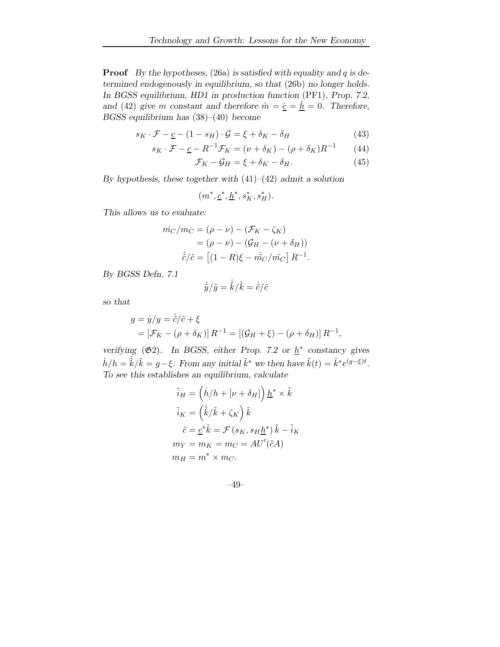**Proof** *By the hypotheses,* (26a) *is satisfied with equality and* q *is determined endogenously in equilibrium, so that* (26b) *no longer holds. In BGSS equilibrium, HD1 in production function* (PF1)*, Prop. 7.2, and* (42) *give* m *constant and therefore*  $\dot{m} = \dot{\underline{c}} = \underline{h} = 0$ *. Therefore, BGSS equilibrium has* (38)*–*(40) *become*

$$
s_K \cdot \mathcal{F} - \underline{c} - (1 - s_H) \cdot \mathcal{G} = \xi + \delta_K - \delta_H \tag{43}
$$

$$
s_K \cdot \mathcal{F} - \underline{c} - R^{-1} \mathcal{F}_K = (\nu + \delta_K) - (\rho + \delta_K) R^{-1}
$$
 (44)

$$
\mathcal{F}_K - \mathcal{G}_H = \xi + \delta_K - \delta_H. \tag{45}
$$

*By hypothesis, these together with* (41)*–*(42) *admit a solution*

 $(m^*, \underline{c}^*, \underline{h}^*, s_K^*, s_H^*).$ 

*This allows us to evaluate:*

$$
\dot{m}_C/m_C = (\rho - \nu) - (\mathcal{F}_K - \zeta_K)
$$
  
= (\rho - \nu) - (\mathcal{G}\_H - (\nu + \delta\_H))  

$$
\dot{\tilde{c}}/\tilde{c} = [(1 - R)\xi - \dot{m_C}/\tilde{m_C}] R^{-1}.
$$

*By BGSS Defn. 7.1*

$$
\dot{\tilde{y}}/\tilde{y} = \dot{\tilde{k}}/\tilde{k} = \dot{\tilde{c}}/\tilde{c}
$$

*so that*

$$
g = \dot{y}/y = \dot{\tilde{c}}/\tilde{c} + \xi
$$
  
=  $[\mathcal{F}_K - (\rho + \delta_K)] R^{-1} = [(\mathcal{G}_H + \xi) - (\rho + \delta_H)] R^{-1},$ 

*verifying* ( $\&$ 2)*.* In BGSS, either Prop. 7.2 or  $h$ <sup>∗</sup> constancy gives  $\dot{h}/h = \dot{\tilde{k}}/\tilde{k} = g - \xi$ . From any initial  $\tilde{k}^*$  we then have  $\tilde{k}(t) = \tilde{k}^* e^{(g-\xi)t}$ . *To see this establishes an equilibrium, calculate*

$$
\tilde{i}_H = (\dot{h}/h + [\nu + \delta_H]) \underline{h}^* \times \tilde{k}
$$

$$
\tilde{i}_K = (\dot{\tilde{k}}/\tilde{k} + \zeta_K) \tilde{k}
$$

$$
\tilde{c} = \underline{c}^* \tilde{k} = \mathcal{F}(s_K, s_H \underline{h}^*) \tilde{k} - \tilde{i}_K
$$

$$
m_Y = m_K = m_C = AU'(\tilde{c}A)
$$

$$
m_H = m^* \times m_C.
$$

–49–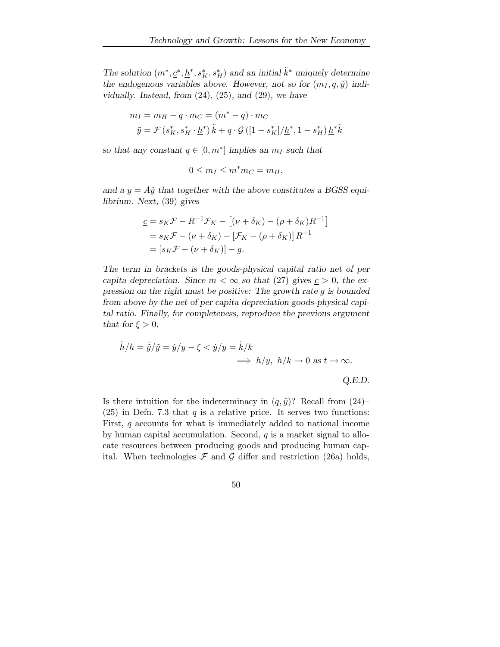*The solution*  $(m^*, \underline{c}^*, \underline{h}^*, s_K^*, s_H^*)$  *and an initial*  $\tilde{k}^*$  *uniquely determine*<br>the endogenous variables above. However, not so for  $(m, a, \tilde{v})$  indithe endogenous variables above. However, not so for  $(m_I, q, \tilde{y})$  indi*vidually. Instead, from* (24)*,* (25)*, and* (29)*, we have*

$$
m_I = m_H - q \cdot m_C = (m^* - q) \cdot m_C
$$
  

$$
\tilde{y} = \mathcal{F}(s_K^*, s_H^* \cdot \underline{h}^*) \tilde{k} + q \cdot \mathcal{G}([1 - s_K^*]/\underline{h}^*, 1 - s_H^*) \underline{h}^* \tilde{k}
$$

*so that any constant*  $q \in [0, m^*]$  *implies an*  $m_I$  *such that* 

$$
0 \le m_I \le m^* m_C = m_H,
$$

and a  $y = A\tilde{y}$  that together with the above constitutes a BGSS equi*librium. Next,* (39) *gives*

$$
\underline{c} = s_K \mathcal{F} - R^{-1} \mathcal{F}_K - [(\nu + \delta_K) - (\rho + \delta_K)R^{-1}]
$$
  
=  $s_K \mathcal{F} - (\nu + \delta_K) - [\mathcal{F}_K - (\rho + \delta_K)]R^{-1}$   
=  $[s_K \mathcal{F} - (\nu + \delta_K)] - g$ .

*The term in brackets is the goods-physical capital ratio net of per capita depreciation.* Since  $m < \infty$  so that (27) gives  $c > 0$ , the ex*pression on the right must be positive: The growth rate* g *is bounded from above by the net of per capita depreciation goods-physical capital ratio. Finally, for completeness, reproduce the previous argument that for*  $\xi > 0$ *,* 

$$
\dot{h}/h = \dot{\tilde{y}}/\tilde{y} = \dot{y}/y - \xi < \dot{y}/y = \dot{k}/k
$$
\n
$$
\implies h/y, \ h/k \to 0 \text{ as } t \to \infty.
$$
\nQ.E.D.

Is there intuition for the indeterminacy in  $(q, \tilde{y})$ ? Recall from (24)– (25) in Defn. 7.3 that  $q$  is a relative price. It serves two functions: First, q accounts for what is immediately added to national income by human capital accumulation. Second,  $q$  is a market signal to allocate resources between producing goods and producing human capital. When technologies  $\mathcal F$  and  $\mathcal G$  differ and restriction (26a) holds,

$$
-50-
$$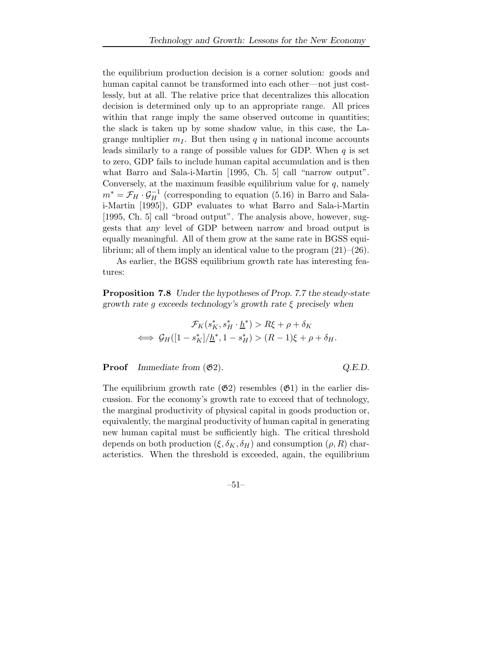the equilibrium production decision is a corner solution: goods and human capital cannot be transformed into each other—not just costlessly, but at all. The relative price that decentralizes this allocation decision is determined only up to an appropriate range. All prices within that range imply the same observed outcome in quantities; the slack is taken up by some shadow value, in this case, the Lagrange multiplier  $m<sub>I</sub>$ . But then using q in national income accounts leads similarly to a range of possible values for GDP. When  $q$  is set to zero, GDP fails to include human capital accumulation and is then what Barro and Sala-i-Martin [1995, Ch. 5] call "narrow output". Conversely, at the maximum feasible equilibrium value for  $q$ , namely  $m^* = \mathcal{F}_H \cdot \mathcal{G}_H^{-1}$  (corresponding to equation (5.16) in Barro and Sala-<br>i-Martin [1995]). GDP evaluates to what Barro and Sala-i-Martin i-Martin [1995]), GDP evaluates to what Barro and Sala-i-Martin [1995, Ch. 5] call "broad output". The analysis above, however, suggests that *any* level of GDP between narrow and broad output is equally meaningful. All of them grow at the same rate in BGSS equilibrium; all of them imply an identical value to the program  $(21)$ – $(26)$ .

As earlier, the BGSS equilibrium growth rate has interesting features:

**Proposition 7.8** *Under the hypotheses of Prop. 7.7 the steady-state growth rate* g *exceeds technology's growth rate* ξ *precisely when*

$$
\mathcal{F}_K(s_K^*, s_H^* \cdot \underline{h}^*) > R\xi + \rho + \delta_K
$$
  

$$
\iff \mathcal{G}_H([1 - s_K^*]/\underline{h}^*, 1 - s_H^*) > (R - 1)\xi + \rho + \delta_H.
$$

**Proof** *Immediate from* ( $\mathfrak{G}2$ ). Q.E.D.

The equilibrium growth rate  $(62)$  resembles  $(61)$  in the earlier discussion. For the economy's growth rate to exceed that of technology, the marginal productivity of physical capital in goods production or, equivalently, the marginal productivity of human capital in generating new human capital must be sufficiently high. The critical threshold depends on both production  $(\xi, \delta_K, \delta_H)$  and consumption  $(\rho, R)$  characteristics. When the threshold is exceeded, again, the equilibrium

–51–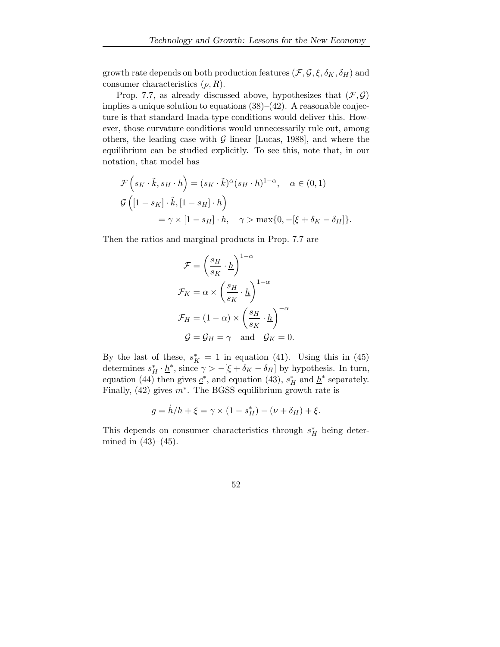growth rate depends on both production features  $(\mathcal{F}, \mathcal{G}, \xi, \delta_K, \delta_H)$  and consumer characteristics  $(\rho, R)$ .

Prop. 7.7, as already discussed above, hypothesizes that  $(\mathcal{F}, \mathcal{G})$ implies a unique solution to equations  $(38)–(42)$ . A reasonable conjecture is that standard Inada-type conditions would deliver this. However, those curvature conditions would unnecessarily rule out, among others, the leading case with  $G$  linear [Lucas, 1988], and where the equilibrium can be studied explicitly. To see this, note that, in our notation, that model has

$$
\mathcal{F}\left(s_K \cdot \tilde{k}, s_H \cdot h\right) = (s_K \cdot \tilde{k})^{\alpha} (s_H \cdot h)^{1-\alpha}, \quad \alpha \in (0, 1)
$$
  

$$
\mathcal{G}\left(\left[1 - s_K\right] \cdot \tilde{k}, \left[1 - s_H\right] \cdot h\right)
$$
  

$$
= \gamma \times \left[1 - s_H\right] \cdot h, \quad \gamma > \max\{0, -\left[\xi + \delta_K - \delta_H\right]\}.
$$

Then the ratios and marginal products in Prop. 7.7 are

$$
\mathcal{F} = \left(\frac{s_H}{s_K} \cdot \underline{h}\right)^{1-\alpha}
$$

$$
\mathcal{F}_K = \alpha \times \left(\frac{s_H}{s_K} \cdot \underline{h}\right)^{1-\alpha}
$$

$$
\mathcal{F}_H = (1-\alpha) \times \left(\frac{s_H}{s_K} \cdot \underline{h}\right)^{-\alpha}
$$

$$
\mathcal{G} = \mathcal{G}_H = \gamma \text{ and } \mathcal{G}_K = 0.
$$

By the last of these,  $s_K^* = 1$  in equation (41). Using this in (45) determines  $s^* \cdot b^*$  since  $\alpha > -[5 + \delta \kappa - \delta \kappa]$  by hypothesis. In turn determines  $s_H^* \cdot \underline{h}^*$ , since  $\gamma > -[\xi + \delta_K - \delta_H]$  by hypothesis. In turn, equation (44) then gives  $\underline{c}^*$ , and equation (43),  $s_H^*$  and  $\underline{h}^*$  separately.<br>Finally (42) gives  $m^*$ . The BGSS equilibrium growth rate is Finally,  $(42)$  gives  $m^*$ . The BGSS equilibrium growth rate is

$$
g = \dot{h}/h + \xi = \gamma \times (1 - s_H^*) - (\nu + \delta_H) + \xi.
$$

This depends on consumer characteristics through  $s_H^*$  being deter-<br>mined in  $(43)-(45)$ mined in  $(43)–(45)$ .

$$
-52-
$$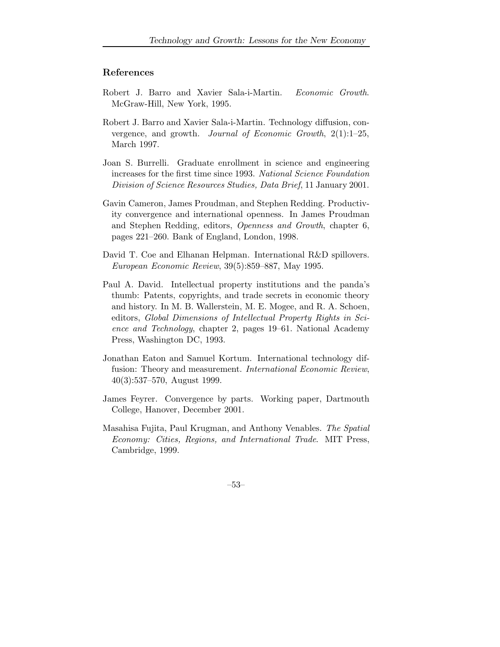#### **References**

- Robert J. Barro and Xavier Sala-i-Martin. *Economic Growth*. McGraw-Hill, New York, 1995.
- Robert J. Barro and Xavier Sala-i-Martin. Technology diffusion, convergence, and growth. *Journal of Economic Growth*, 2(1):1–25, March 1997.
- Joan S. Burrelli. Graduate enrollment in science and engineering increases for the first time since 1993. *National Science Foundation Division of Science Resources Studies, Data Brief*, 11 January 2001.
- Gavin Cameron, James Proudman, and Stephen Redding. Productivity convergence and international openness. In James Proudman and Stephen Redding, editors, *Openness and Growth*, chapter 6, pages 221–260. Bank of England, London, 1998.
- David T. Coe and Elhanan Helpman. International R&D spillovers. *European Economic Review*, 39(5):859–887, May 1995.
- Paul A. David. Intellectual property institutions and the panda's thumb: Patents, copyrights, and trade secrets in economic theory and history. In M. B. Wallerstein, M. E. Mogee, and R. A. Schoen, editors, *Global Dimensions of Intellectual Property Rights in Science and Technology*, chapter 2, pages 19–61. National Academy Press, Washington DC, 1993.
- Jonathan Eaton and Samuel Kortum. International technology diffusion: Theory and measurement. *International Economic Review*, 40(3):537–570, August 1999.
- James Feyrer. Convergence by parts. Working paper, Dartmouth College, Hanover, December 2001.
- Masahisa Fujita, Paul Krugman, and Anthony Venables. *The Spatial Economy: Cities, Regions, and International Trade*. MIT Press, Cambridge, 1999.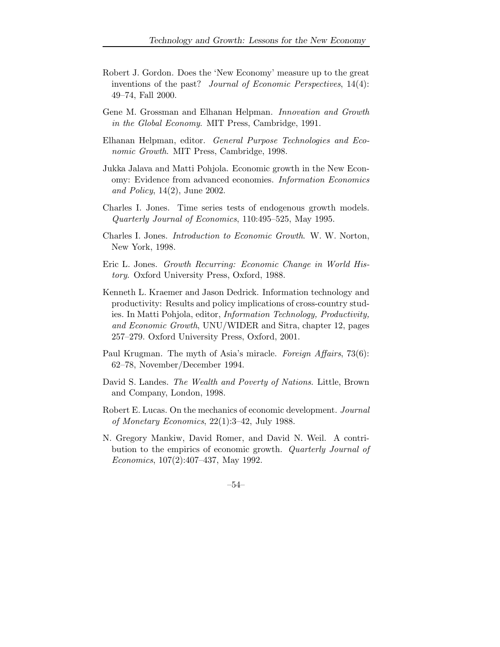- Robert J. Gordon. Does the 'New Economy' measure up to the great inventions of the past? *Journal of Economic Perspectives*, 14(4): 49–74, Fall 2000.
- Gene M. Grossman and Elhanan Helpman. *Innovation and Growth in the Global Economy*. MIT Press, Cambridge, 1991.
- Elhanan Helpman, editor. *General Purpose Technologies and Economic Growth*. MIT Press, Cambridge, 1998.
- Jukka Jalava and Matti Pohjola. Economic growth in the New Economy: Evidence from advanced economies. *Information Economics and Policy*, 14(2), June 2002.
- Charles I. Jones. Time series tests of endogenous growth models. *Quarterly Journal of Economics*, 110:495–525, May 1995.
- Charles I. Jones. *Introduction to Economic Growth*. W. W. Norton, New York, 1998.
- Eric L. Jones. *Growth Recurring: Economic Change in World History*. Oxford University Press, Oxford, 1988.
- Kenneth L. Kraemer and Jason Dedrick. Information technology and productivity: Results and policy implications of cross-country studies. In Matti Pohjola, editor, *Information Technology, Productivity, and Economic Growth*, UNU/WIDER and Sitra, chapter 12, pages 257–279. Oxford University Press, Oxford, 2001.
- Paul Krugman. The myth of Asia's miracle. *Foreign Affairs*, 73(6): 62–78, November/December 1994.
- David S. Landes. *The Wealth and Poverty of Nations*. Little, Brown and Company, London, 1998.
- Robert E. Lucas. On the mechanics of economic development. *Journal of Monetary Economics*, 22(1):3–42, July 1988.
- N. Gregory Mankiw, David Romer, and David N. Weil. A contribution to the empirics of economic growth. *Quarterly Journal of Economics*, 107(2):407–437, May 1992.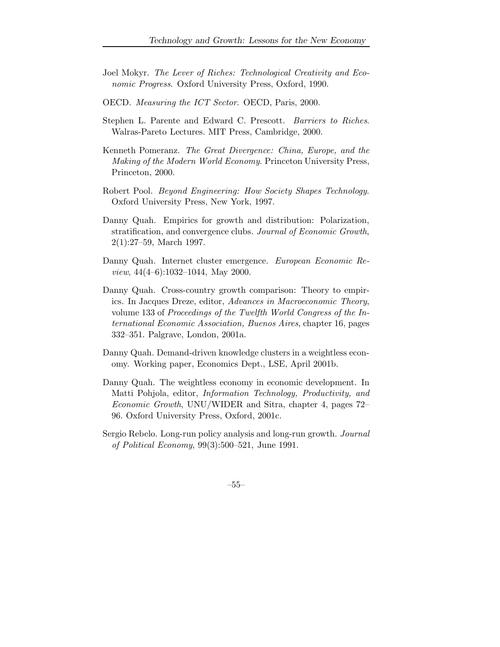- Joel Mokyr. *The Lever of Riches: Technological Creativity and Economic Progress*. Oxford University Press, Oxford, 1990.
- OECD. *Measuring the ICT Sector*. OECD, Paris, 2000.
- Stephen L. Parente and Edward C. Prescott. *Barriers to Riches*. Walras-Pareto Lectures. MIT Press, Cambridge, 2000.
- Kenneth Pomeranz. *The Great Divergence: China, Europe, and the Making of the Modern World Economy*. Princeton University Press, Princeton, 2000.
- Robert Pool. *Beyond Engineering: How Society Shapes Technology*. Oxford University Press, New York, 1997.
- Danny Quah. Empirics for growth and distribution: Polarization, stratification, and convergence clubs. *Journal of Economic Growth*, 2(1):27–59, March 1997.
- Danny Quah. Internet cluster emergence. *European Economic Review*, 44(4–6):1032–1044, May 2000.
- Danny Quah. Cross-country growth comparison: Theory to empirics. In Jacques Dreze, editor, *Advances in Macroeconomic Theory*, volume 133 of *Proceedings of the Twelfth World Congress of the International Economic Association, Buenos Aires*, chapter 16, pages 332–351. Palgrave, London, 2001a.
- Danny Quah. Demand-driven knowledge clusters in a weightless economy. Working paper, Economics Dept., LSE, April 2001b.
- Danny Quah. The weightless economy in economic development. In Matti Pohjola, editor, *Information Technology, Productivity, and Economic Growth*, UNU/WIDER and Sitra, chapter 4, pages 72– 96. Oxford University Press, Oxford, 2001c.
- Sergio Rebelo. Long-run policy analysis and long-run growth. *Journal of Political Economy*, 99(3):500–521, June 1991.

–55–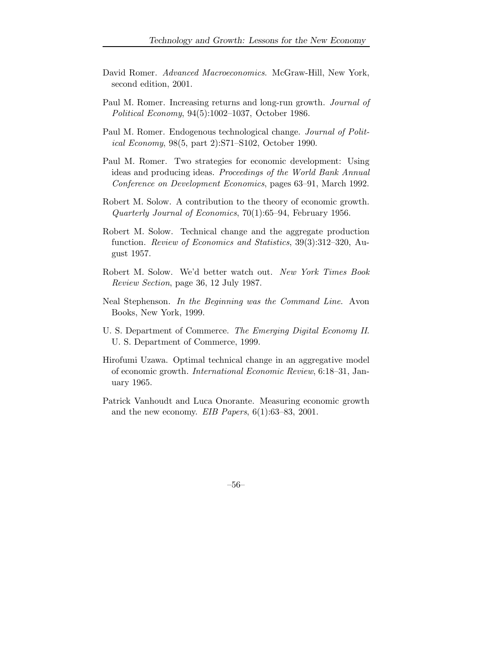- David Romer. *Advanced Macroeconomics*. McGraw-Hill, New York, second edition, 2001.
- Paul M. Romer. Increasing returns and long-run growth. *Journal of Political Economy*, 94(5):1002–1037, October 1986.
- Paul M. Romer. Endogenous technological change. *Journal of Political Economy*, 98(5, part 2):S71–S102, October 1990.
- Paul M. Romer. Two strategies for economic development: Using ideas and producing ideas. *Proceedings of the World Bank Annual Conference on Development Economics*, pages 63–91, March 1992.
- Robert M. Solow. A contribution to the theory of economic growth. *Quarterly Journal of Economics*, 70(1):65–94, February 1956.
- Robert M. Solow. Technical change and the aggregate production function. *Review of Economics and Statistics*, 39(3):312–320, August 1957.
- Robert M. Solow. We'd better watch out. *New York Times Book Review Section*, page 36, 12 July 1987.
- Neal Stephenson. *In the Beginning was the Command Line*. Avon Books, New York, 1999.
- U. S. Department of Commerce. *The Emerging Digital Economy II*. U. S. Department of Commerce, 1999.
- Hirofumi Uzawa. Optimal technical change in an aggregative model of economic growth. *International Economic Review*, 6:18–31, January 1965.
- Patrick Vanhoudt and Luca Onorante. Measuring economic growth and the new economy. *EIB Papers*, 6(1):63–83, 2001.

–56–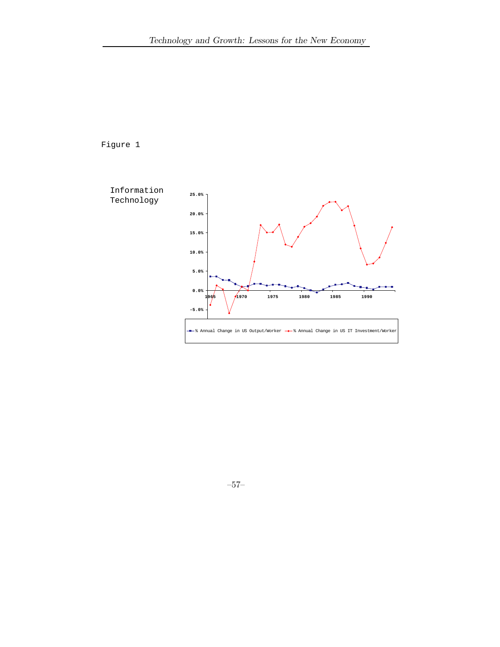## Figure 1



–57–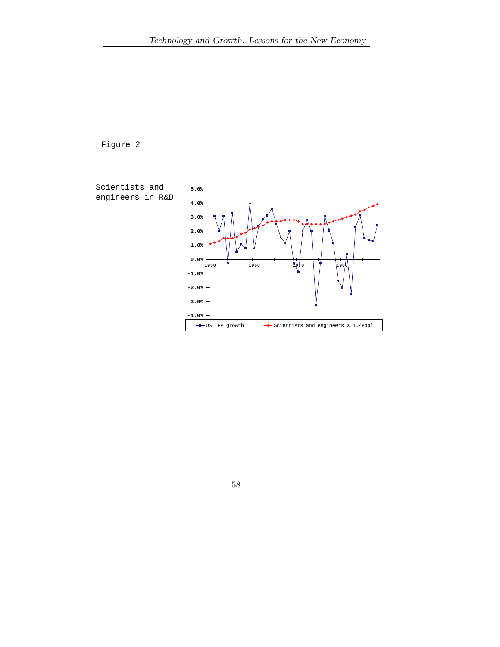Figure 2



–58–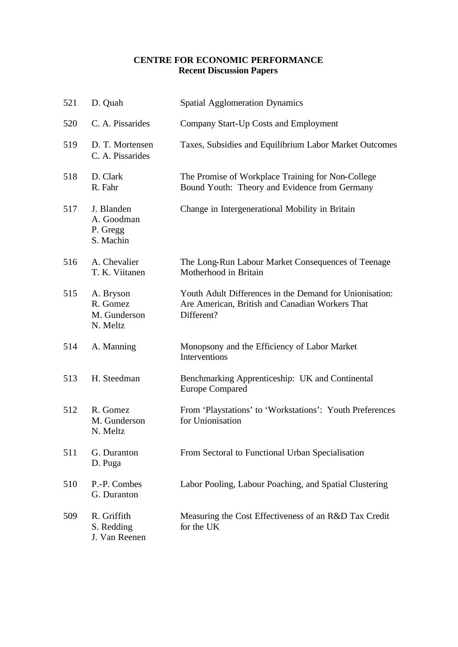## **CENTRE FOR ECONOMIC PERFORMANCE Recent Discussion Papers**

| 521 | D. Quah                                           | <b>Spatial Agglomeration Dynamics</b>                                                                                    |
|-----|---------------------------------------------------|--------------------------------------------------------------------------------------------------------------------------|
| 520 | C. A. Pissarides                                  | Company Start-Up Costs and Employment                                                                                    |
| 519 | D. T. Mortensen<br>C. A. Pissarides               | Taxes, Subsidies and Equilibrium Labor Market Outcomes                                                                   |
| 518 | D. Clark<br>R. Fahr                               | The Promise of Workplace Training for Non-College<br>Bound Youth: Theory and Evidence from Germany                       |
| 517 | J. Blanden<br>A. Goodman<br>P. Gregg<br>S. Machin | Change in Intergenerational Mobility in Britain                                                                          |
| 516 | A. Chevalier<br>T. K. Viitanen                    | The Long-Run Labour Market Consequences of Teenage<br>Motherhood in Britain                                              |
| 515 | A. Bryson<br>R. Gomez<br>M. Gunderson<br>N. Meltz | Youth Adult Differences in the Demand for Unionisation:<br>Are American, British and Canadian Workers That<br>Different? |
| 514 | A. Manning                                        | Monopsony and the Efficiency of Labor Market<br><b>Interventions</b>                                                     |
| 513 | H. Steedman                                       | Benchmarking Apprenticeship: UK and Continental<br><b>Europe Compared</b>                                                |
| 512 | R. Gomez<br>M. Gunderson<br>N. Meltz              | From 'Playstations' to 'Workstations': Youth Preferences<br>for Unionisation                                             |
| 511 | G. Duranton<br>D. Puga                            | From Sectoral to Functional Urban Specialisation                                                                         |
| 510 | P.-P. Combes<br>G. Duranton                       | Labor Pooling, Labour Poaching, and Spatial Clustering                                                                   |
| 509 | R. Griffith<br>S. Redding<br>J. Van Reenen        | Measuring the Cost Effectiveness of an R&D Tax Credit<br>for the UK                                                      |